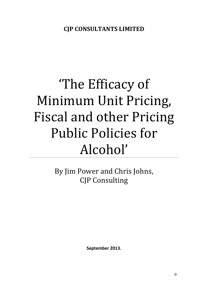# 'The Efficacy of Minimum Unit Pricing, Fiscal and other Pricing Public Policies for Alcohol'

By Jim Power and Chris Johns, CJP Consulting

**September 2013.**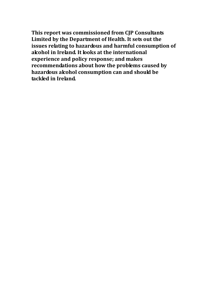**This report was commissioned from CJP Consultants Limited by the Department of Health. It sets out the issues relating to hazardous and harmful consumption of alcohol in Ireland. It looks at the international experience and policy response; and makes recommendations about how the problems caused by hazardous alcohol consumption can and should be tackled in Ireland.**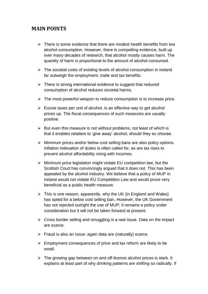## **MAIN POINTS**

- $\triangleright$  There is some evidence that there are modest health benefits from low alcohol consumption. However, there is compelling evidence, built up over many decades of research, that alcohol mostly causes harm. The quantity of harm is proportional to the amount of alcohol consumed.
- $\triangleright$  The societal costs of existing levels of alcohol consumption in Ireland far outweigh the employment, trade and tax benefits.
- $\triangleright$  There is strong international evidence to suggest that reduced consumption of alcohol reduces societal harms.
- $\triangleright$  The most powerful weapon to reduce consumption is to increase price.
- $\triangleright$  Excise taxes per unit of alcohol, is an effective way to get alcohol prices up. The fiscal consequences of such measures are usually positive.
- $\triangleright$  But even this measure is not without problems, not least of which is that it enables retailers to 'give away' alcohol, should they so choose.
- $\triangleright$  Minimum prices and/or below cost selling bans are also policy options. Inflation indexation of duties is often called for, as are tax rises to prevent alcohol affordability rising with incomes.
- $\triangleright$  Minimum price legislation might violate EU competition law, but the Scottish Court has convincingly argued that it does not. This has been appealed by the alcohol industry. We believe that a policy of MUP in Ireland would not violate EU Competition Law and would prove very beneficial as a public health measure.
- $\triangleright$  This is one reason, apparently, why the UK (in England and Wales) has opted for a below cost selling ban. However, the UK Government has not rejected outright the use of MUP; it remains a policy under consideration but it will not be taken forward at present.
- $\triangleright$  Cross border selling and smuggling is a real issue. Data on the impact are scarce.
- $\triangleright$  Fraud is also an issue: again data are (naturally) scarce.
- $\triangleright$  Employment consequences of price and tax reform are likely to be small.
- $\triangleright$  The growing gap between on and off-licence alcohol prices is stark. It explains at least part of why drinking patterns are shifting so radically. If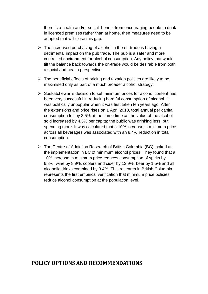there is a health and/or social benefit from encouraging people to drink in licenced premises rather than at home, then measures need to be adopted that will close this gap.

- $\triangleright$  The increased purchasing of alcohol in the off-trade is having a detrimental impact on the pub trade. The pub is a safer and more controlled environment for alcohol consumption. Any policy that would tilt the balance back towards the on-trade would be desirable from both a social and health perspective.
- $\triangleright$  The beneficial effects of pricing and taxation policies are likely to be maximised only as part of a much broader alcohol strategy.
- $\triangleright$  Saskatchewan's decision to set minimum prices for alcohol content has been very successful in reducing harmful consumption of alcohol. It was politically unpopular when it was first taken ten years ago. After the extensions and price rises on 1 April 2010, total annual per capita consumption fell by 3.5% at the same time as the value of the alcohol sold increased by 4.3% per capita; the public was drinking less, but spending more. It was calculated that a 10% increase in minimum price across all beverages was associated with an 8.4% reduction in total consumption.
- The Centre of Addiction Research of British Columbia (BC) looked at the implementation in BC of minimum alcohol prices. They found that a 10% increase in minimum price reduces consumption of spirits by 6.8%, wine by 8.9%, coolers and cider by 13.9%, beer by 1.5% and all alcoholic drinks combined by 3.4%. This research in British Columbia represents the first empirical verification that minimum price policies reduce alcohol consumption at the population level.

## **POLICY OPTIONS AND RECOMMENDATIONS**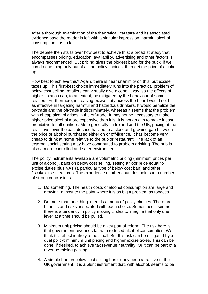After a thorough examination of the theoretical literature and its associated evidence base the reader is left with a singular impression: harmful alcohol consumption has to fall.

The debate then starts over how best to achieve this: a broad strategy that encompasses pricing, education, availability, advertising and other factors is always recommended. But pricing gives the biggest bang for the buck: if we can do one thing only out of all the policy choices, then get the price of alcohol up.

How best to achieve this? Again, there is near unanimity on this: put excise taxes up. This first-best choice immediately runs into the practical problem of below cost selling: retailers can virtually give alcohol away, so the effects of higher taxation can, to an extent, be mitigated by the behaviour of some retailers. Furthermore, increasing excise duty across the board would not be as effective in targeting harmful and hazardous drinkers. It would penalize the on-trade and the off-trade indiscriminately, whereas it seems that the problem with cheap alcohol arises in the off-trade. It may not be necessary to make higher price alcohol more expensive than it is. It is not an aim to make it cost prohibitive for all drinkers. More generally, in Ireland and the UK, pricing at the retail level over the past decade has led to a stark and growing gap between the price of alcohol purchased either on or off-licence. It has become very cheap to drink at home relative to the pub or restaurant. The lack of an external social setting may have contributed to problem drinking. The pub is also a more controlled and safer environment.

The policy instruments available are volumetric pricing (minimum prices per unit of alcohol), bans on below cost selling, setting a floor price equal to excise duties plus VAT (a particular type of below cost ban) and other fiscal/excise measures. The experience of other countries points to a number of strong conclusions:

- 1. Do something. The health costs of alcohol consumption are large and growing, almost to the point where it is as big a problem as tobacco.
- 2. Do more than one thing: there is a menu of policy choices. There are benefits and risks associated with each choice. Sometimes it seems there is a tendency in policy making circles to imagine that only one lever at a time should be pulled.
- 3. Minimum unit pricing should be a key part of reform. The risk here is that government revenues fall with reduced alcohol consumption. We think this effect is likely to be small. But this risk can be mitigated by a dual policy: minimum unit pricing and higher excise taxes. This can be done, if desired, to achieve tax revenue neutrality. Or it can be part of a revenue raising package.
- 4. A simple ban on below cost selling has clearly been attractive to the UK government. It is a blunt instrument that, with alcohol, seems to be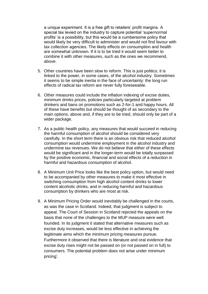a unique experiment. It is a free gift to retailers' profit margins. A special tax levied on the industry to capture potential 'supernormal profits' is a possibility, but this would be a cumbersome policy that would likely be very difficult to administer and would not find favour with tax collection agencies. The likely effects on consumption and health are somewhat unknown. If it is to be tried it would seem better to combine it with other measures, such as the ones we recommend, above.

- 5. Other countries have been slow to reform. This is just politics; it is linked to the power, in some cases, of the alcohol industry. Sometimes it seems to be simple inertia in the face of uncertainty: the long run effects of radical tax reform are never fully foreseeable.
- 6. Other measures could include the inflation indexing of excise duties, minimum drinks prices, policies particularly targeted at problem drinkers and bans on promotions such as 2-for-1 and happy hours. All of these have benefits but should be thought of as secondary to the main options, above and, if they are to be tried, should only be part of a wider package.
- 7. As a public health policy, any measures that would succeed in reducing the harmful consumption of alcohol should be considered very carefully. In the short term there is an obvious risk that reduced alcohol consumption would undermine employment in the alcohol industry and undermine tax revenues. We do not believe that either of these effects would be significant and in the longer-term would be totally surpassed by the positive economic, financial and social effects of a reduction in harmful and hazardous consumption of alcohol.
- 8. A Minimum Unit Price looks like the best policy option, but would need to be accompanied by other measures to make it most effective in switching consumption from high alcohol content drinks to lower content alcoholic drinks, and in reducing harmful and hazardous consumption by drinkers who are most at risk.
- 9. A Minimum Pricing Order would inevitably be challenged in the courts, as was the case in Scotland. Indeed, that judgment is subject to appeal. The Court of Session in Scotland rejected the appeals on the basis that none of the challenges to the MUP measure were well founded. In its judgment it stated that alternative measures such as excise duty increases, would be less effective in achieving the legitimate aims which the minimum pricing measures pursue. Furthermore it observed that there is literature and oral evidence that excise duty rises might not be passed on (or not passed on in full) to consumers. The potential problem does not arise under minimum pricing'.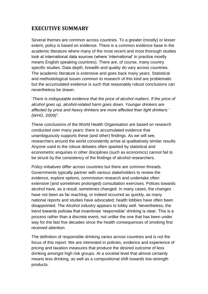## **EXECUTIVE SUMMARY**

Several themes are common across countries. To a greater (mostly) or lesser extent, policy is based on evidence. There is a common evidence base in the academic literature where many of the most recent and most thorough studies look at international data sources (where 'international' in practice mostly means English speaking countries). There are, of course, many country specific studies. Data depth, breadth and quality do vary across countries. The academic literature is extensive and goes back many years. Statistical and methodological issues common to research of this kind are problematic but the accumulated evidence is such that reasonably robust conclusions can nevertheless be drawn.

'*There is indisputable evidence that the price of alcohol matters. If the price of alcohol goes up, alcohol-related harm goes down. Younger drinkers are affected by price and heavy drinkers are more affected than light drinkers.'*  $(WHO, 2009)^1$ .

These conclusions of the World Health Organisation are based on research conducted over many years: there is accumulated evidence that unambiguously supports these (and other) findings. As we will see, researchers around the world consistently arrive at qualitatively similar results. Anyone used to the robust debates often sparked by statistical and econometric enquiries in other disciplines (such as economics) cannot fail to be struck by the consistency of the findings of alcohol researchers.

Policy initiatives differ across countries but there are common threads. Governments typically partner with various stakeholders to review the evidence, explore options, commission research and undertake often extensive (and sometimes prolonged) consultation exercises. Polices towards alcohol have, as a result, sometimes changed. In many cases, the changes have not been as far reaching, or indeed occurred as quickly, as many national reports and studies have advocated; health lobbies have often been disappointed. The Alcohol industry appears to lobby well. Nevertheless, the trend towards policies that incentivise 'responsible' drinking is clear. This is a process rather than a discrete event, not unlike the one that has been under way for the fast five decades since the health consequences of smoking first received attention.

The definition of responsible drinking varies across countries and is not the focus of this report. We are interested in policies, evidence and experience of pricing and taxation measures that produce the desired outcome of less drinking amongst high risk groups. At a societal level that almost certainly means less drinking, as well as a compositional shift towards low-strength products.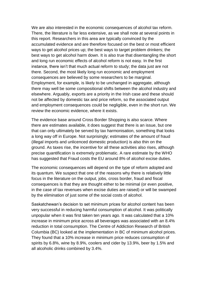We are also interested in the economic consequences of alcohol tax reform. There, the literature is far less extensive, as we shall note at several points in this report. Researchers in this area are typically convinced by the accumulated evidence and are therefore focused on the best or most efficient ways to get alcohol prices up; the best ways to target problem drinkers; the best ways to get alcohol harm down. It is also true that disentangling the short and long run economic effects of alcohol reform is not easy. In the first instance, there isn't that much actual reform to study; the data just are not there. Second, the most likely long run economic and employment consequences are believed by some researchers to be marginal. Employment, for example, is likely to be unchanged in aggregate, although there may well be some compositional shifts between the alcohol industry and elsewhere. Arguably, exports are a priority in the Irish case and these should not be affected by domestic tax and price reform, so the associated output and employment consequences could be negligible, even in the short run. We review the economic evidence, where it exists.

The evidence base around Cross Border Shopping is also scarce. Where there are estimates available, it does suggest that there is an issue, but one that can only ultimately be served by tax harmonisation, something that looks a long way off in Europe. Not surprisingly; estimates of the amount of fraud (illegal imports and unlicenced domestic production) is also thin on the ground. As taxes rise, the incentive for all these activities also rises, although precise quantification is extremely problematic. A rare estimate by the WHO has suggested that Fraud costs the EU around 8% of alcohol excise duties.

The economic consequences will depend on the type of reform adopted and its quantum. We suspect that one of the reasons why there is relatively little focus in the literature on the output, jobs, cross border, fraud and fiscal consequences is that they are thought either to be minimal (or even positive, in the case of tax revenues when excise duties are raised) or will be swamped by the elimination of just some of the social costs of alcohol.

Saskatchewan's decision to set minimum prices for alcohol content has been very successful in reducing harmful consumption of alcohol. It was politically unpopular when it was first taken ten years ago. It was calculated that a 10% increase in minimum price across all beverages was associated with an 8.4% reduction in total consumption. The Centre of Addiction Research of British Columbia (BC) looked at the implementation in BC of minimum alcohol prices. They found that a 10% increase in minimum price reduces consumption of spirits by 6.8%, wine by 8.9%, coolers and cider by 13.9%, beer by 1.5% and all alcoholic drinks combined by 3.4%.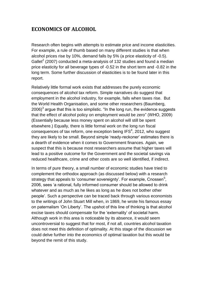## **ECONOMICS OF ALCOHOL**

Research often begins with attempts to estimate price and income elasticities. For example, a rule of thumb based on many different studies is that when alcohol prices rise by 10%, demand falls by 5% (a price elasticity of -0.5). Gallet<sup>2</sup> (2007) conducted a meta-analysis of 132 studies and found a median price elasticity for all beverage types of -0.52 in the short term and -0.82 in the long term. Some further discussion of elasticities is to be found later in this report.

Relatively little formal work exists that addresses the purely economic consequences of alcohol tax reform. Simple narratives do suggest that employment in the alcohol industry, for example, falls when taxes rise. But the World Health Organisation, and some other researchers (Baumberg, 2006) $^3$  argue that this is too simplistic. "In the long run, the evidence suggests that the effect of alcohol policy on employment would be zero" (WHO, 2009) (Essentially because less money spent on alcohol will still be spent elsewhere.) Equally, there is little formal work on the long run fiscal consequences of tax reform, one exception being IFS<sup>4</sup>, 2012, who suggest they are likely to be small. Beyond simple 'ready-reckoner' estimates there is a dearth of evidence when it comes to Government finances. Again, we suspect that this is because most researchers assume that higher taxes will lead to a positive outcome for the Government and the societal savings via reduced healthcare, crime and other costs are so well identified, if indirect.

In terms of pure theory, a small number of economic studies have tried to complement the orthodox approach (as discussed below) with a research strategy that appeals to 'consumer sovereignty'. For example, Cnossen<sup>5</sup>, 2006, sees 'a rational, fully informed consumer should be allowed to drink whatever and as much as he likes as long as he does not bother other people'. Such a perspective can be traced back through various economists to the writings of John Stuart Mill when, in 1869, he wrote his famous essay on paternalism 'On Liberty'. The upshot of this line of thinking is that alcohol excise taxes should compensate for the 'externality' of societal harm. Although work in this area is noticeable by its absence, it would seem uncontroversial to suggest that for most, if not all, countries alcohol taxation does not meet this definition of optimality. At this stage of the discussion we could delve further into the economics of optimal taxation but this would be beyond the remit of this study.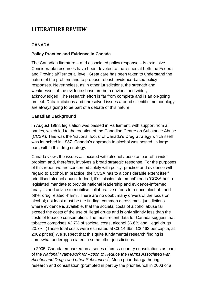# **LITERATURE REVIEW**

#### **CANADA**

#### **Policy Practice and Evidence in Canada**

The Canadian literature – and associated policy response – is extensive. Considerable resources have been devoted to the issues at both the Federal and Provincial/Territorial level. Great care has been taken to understand the nature of the problem and to propose robust, evidence-based policy responses. Nevertheless, as in other jurisdictions, the strength and weaknesses of the evidence base are both obvious and widely acknowledged. The research effort is far from complete and is an on-going project. Data limitations and unresolved issues around scientific methodology are always going to be part of a debate of this nature.

#### **Canadian Background**

In August 1988, legislation was passed in Parliament, with support from all parties, which led to the creation of the Canadian Centre on Substance Abuse (CCSA). This was the 'national focus' of Canada's Drug Strategy which itself was launched in 1987. Canada's approach to alcohol was nested, in large part, within this drug strategy.

Canada views the issues associated with alcohol abuse as part of a wider problem and, therefore, involves a broad strategic response. For the purposes of this report we are concerned solely with policy, practice and evidence with regard to alcohol. In practice, the CCSA has to a considerable extent itself prioritised alcohol abuse. Indeed, it's 'mission statement' reads 'CCSA has a legislated mandate to provide national leadership and evidence-informed analysis and advice to mobilise collaborative efforts to reduce alcohol - and other drug related -harm'. There are no doubt many drivers of the focus on alcohol; not least must be the finding, common across most jurisdictions where evidence is available, that the societal costs of alcohol abuse far exceed the costs of the use of illegal drugs and is only slightly less than the costs of tobacco consumption. The most recent data for Canada suggest that tobacco comprises 42.7% of societal costs, alcohol 36.6% and illegal drugs 20.7%. (Those total costs were estimated at C\$ 14.6bn, C\$ 463 per capita, at 2002 prices) We suspect that this quite fundamental research finding is somewhat underappreciated in some other jurisdictions.

In 2005, Canada embarked on a series of cross-country consultations as part of the *National Framework for Action to Reduce the Harms Associated with Alcohol and Drugs and other Substances<sup>6</sup> .* Much prior data gathering, research and consultation (prompted in part by the prior launch in 2003 of a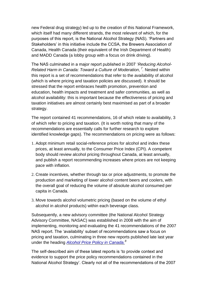new Federal drug strategy) led up to the creation of this National Framework, which itself had many different strands, the most relevant of which, for the purposes of this report, is the National Alcohol Strategy (NAS). 'Partners and Stakeholders' in this initiative include the CCSA, the Brewers Association of Canada, Health Canada (their equivalent of the Irish Department of Health) and MADD Canada (a lobby group with a focus on drink driving).

The NAS culminated in a major report published in 2007 '*Reducing Alcohol-Related Harm in Canada: Toward a Culture of Moderation, 7 .* Nested within this report is a set of recommendations that refer to the availability of alcohol (which is where pricing and taxation policies are discussed). It should be stressed that the report embraces health promotion, prevention and education, health impacts and treatment and safer communities, as well as alcohol availability: this is important because the effectiveness of pricing and taxation initiatives are almost certainly best maximised as part of a broader strategy.

The report contained 41 recommendations, 16 of which relate to availability, 3 of which refer to pricing and taxation. (It is worth noting that many of the recommendations are essentially calls for further research to explore identified knowledge gaps). The recommendations on pricing were as follows:

- 1. Adopt minimum retail social-reference prices for alcohol and index these prices, at least annually, to the Consumer Price Index (CPI). A competent body should review alcohol pricing throughout Canada, at least annually, and publish a report recommending increases where prices are not keeping pace with inflation.
- 2. Create incentives, whether through tax or price adjustments, to promote the production and marketing of lower alcohol content beers and coolers, with the overall goal of reducing the volume of absolute alcohol consumed per capita in Canada.
- 3. Move towards alcohol volumetric pricing (based on the volume of ethyl alcohol in alcohol products) within each beverage class.

Subsequently, a new advisory committee (the National Alcohol Strategy Advisory Committee, NASAC) was established in 2008 with the aim of implementing, monitoring and evaluating the 41 recommendations of the 2007 NAS report. The 'availability' subset of recommendations saw a focus on pricing and taxation, culminating in three new reports published late last year under the heading *[Alcohol Price Policy in Canada.](http://www.ccsa.ca/Eng/Priorities/Alcohol/Alcohol-pricing-in-Canada/Pages/default.aspx)<sup>8</sup>*

The self-described aim of these latest reports is 'to provide context and evidence to support the price policy recommendations contained in the National Alcohol Strategy'. Clearly not all of the recommendations of the 2007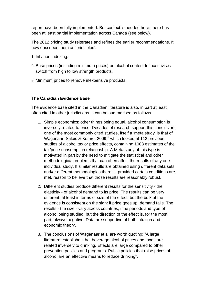report have been fully implemented. But context is needed here: there has been at least partial implementation across Canada (see below).

The 2012 pricing study reiterates and refines the earlier recommendations. It now describes them as 'principles':

- 1. Inflation indexing.
- 2. Base prices (including minimum prices) on alcohol content to incentivise a switch from high to low strength products.
- 3. Minimum prices to remove inexpensive products.

#### **The Canadian Evidence Base**

The evidence base cited in the Canadian literature is also, in part at least, often cited in other jurisdictions. It can be summarised as follows.

- 1. Simple economics: other things being equal, alcohol consumption is inversely related to price. Decades of research support this conclusion: one of the most commonly cited studies, itself a 'meta study' is that of Wagenaar, Salois & Komro, 2009,<sup>9</sup> which looked at 112 previous studies of alcohol tax or price effects, containing 1003 estimates of the tax/price-consumption relationship. A Meta study of this type is motivated in part by the need to mitigate the statistical and other methodological problems that can often affect the results of any one individual study. If similar results are obtained using different data sets and/or different methodologies there is, provided certain conditions are met, reason to believe that those results are reasonably robust.
- 2. Different studies produce different results for the sensitivity the elasticity - of alcohol demand to its price. The results can be very different, at least in terms of size of the effect, but the bulk of the evidence is consistent on the sign: if price goes up, demand falls. The results - the size - vary across countries, time periods and type of alcohol being studied, but the direction of the effect is, for the most part, always negative. Data are supportive of both intuition and economic theory.
- 3. The conclusions of Wagenaar et al are worth quoting: "A large literature establishes that beverage alcohol prices and taxes are related inversely to drinking. Effects are large compared to other prevention policies and programs. Public policies that raise prices of alcohol are an effective means to reduce drinking".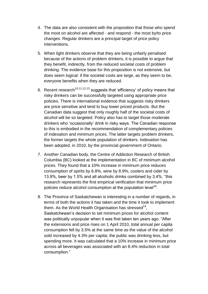- 4. The data are also consistent with the proposition that those who spend the most on alcohol are affected - and respond - the most by/to price changes. Regular drinkers are a principal target of price policy interventions.
- 5. When light drinkers observe that they are being unfairly penalised because of the actions of problem drinkers, it is possible to argue that they benefit, indirectly, from the reduced societal costs of problem drinking. The evidence base for this proposition is not extensive, but does seem logical: if the societal costs are large, as they seem to be, everyone benefits when they are reduced.
- 6. Recent research<sup>10,11,12,13</sup> suggests that 'efficiency' of policy means that risky drinkers can be successfully targeted using appropriate price policies. There is international evidence that suggests risky drinkers are price sensitive and tend to buy lower priced products. But the Canadian data suggest that only roughly half of the societal costs of alcohol will be so targeted. Policy also has to target those moderate drinkers who 'occasionally' drink in risky ways. The Canadian response to this is embodied in the recommendation of complementary policies of indexation and minimum prices. The latter targets problem drinkers, the former targets the whole population of drinkers. Indexation has been adopted, in 2010, by the provincial government of Ontario.
- 7. Another Canadian body, the Centre of Addiction Research of British Columbia (BC) looked at the implementation in BC of minimum alcohol prices. They found that a 10% increase in minimum price reduces consumption of spirits by 6.8%, wine by 8.9%, coolers and cider by 13.9%, beer by 1.5% and all alcoholic drinks combined by 3.4%. "this research represents the first empirical verification that minimum price policies reduce alcohol consumption at the population level"<sup>8</sup>.
- 8. The Province of Saskatchewan is interesting in a number of regards, in terms of both the actions it has taken and the time it took to implement them. As the World Health Organisation has stressed<sup>14</sup>, Saskatchewan's decision to set minimum prices for alcohol content was politically unpopular when it was first taken ten years ago. "After the extensions and price rises on 1 April 2010, total annual per capita consumption fell by 3.5% at the same time as the value of the alcohol sold increased by 4.3% per capita; the public was drinking less, but spending more. It was calculated that a 10% increase in minimum price across all beverages was associated with an 8.4% reduction in total consumption."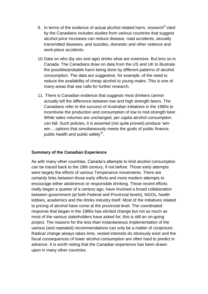- 9. In terms of the evidence of actual alcohol related harm, research<sup>8</sup> cited by the Canadians includes studies from various countries that suggest alcohol price increases can reduce disease, road accidents, sexually transmitted diseases, and suicides, domestic and other violence and work-place accidents.
- 10.Data on who (by sex and age) drinks what are extensive. But less so in Canada. The Canadians draw on data from the US and UK to illustrate the possible/probable harm being done by different patterns of alcohol consumption. The data are suggestive, for example, of the need to reduce the availability of cheap alcohol to young males. This is one of many areas that see calls for further research.
- 11. There is Canadian evidence that suggests most drinkers cannot actually tell the difference between low and high strength beers. The Canadians refer to the success of Australian initiatives in the 1980s to incentivise the production and consumption of low to mid-strength beer. While sales volumes are unchanged, per capita alcohol consumption can fall. Such policies, it is asserted (not quite proved) produce 'winwin….options that simultaneously meets the goals of public finance, public health and public safety'<sup>8</sup>.

#### **Summary of the Canadian Experience**

As with many other countries, Canada's attempts to limit alcohol consumption can be traced back to the 19th century, if not before. Those early attempts were largely the efforts of various Temperance movements. There are certainly links between those early efforts and more modern attempts to encourage either abstinence or responsible drinking. Those recent efforts really began a quarter of a century ago, have involved a broad collaboration between government (at both Federal and Provincial levels), NGOs, health lobbies, academics and the drinks industry itself. Most of the initiatives related to pricing of alcohol have come at the provincial level. The coordinated response that began in the 1980s has elicited change but not as much as most of the various stakeholders have asked for; this is still an on-going project. The reasons for the less than instantaneous implementation of the various (and repeated) recommendations can only be a matter of conjecture. Radical change always takes time, vested interests do obviously exist and the fiscal consequences of lower alcohol consumption are often hard to predict in advance. It is worth noting that the Canadian experience has been drawn upon in many other countries.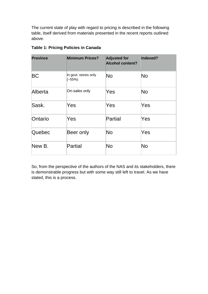The current state of play with regard to pricing is described in the following table, itself derived from materials presented in the recent reports outlined above.

| <b>Province</b> | <b>Minimum Prices?</b>           | <b>Adjusted for</b><br><b>Alcohol content?</b> | Indexed? |
|-----------------|----------------------------------|------------------------------------------------|----------|
| BC              | In govt. stores only<br>$(-55%)$ | No                                             | No       |
| Alberta         | On-sales only                    | Yes                                            | No       |
| Sask.           | Yes                              | Yes                                            | Yes      |
| Ontario         | Yes                              | Partial                                        | Yes      |
| Quebec          | Beer only                        | No                                             | Yes      |
| New B.          | Partial                          | No                                             | No       |

#### **Table 1: Pricing Policies in Canada**

So, from the perspective of the authors of the NAS and its stakeholders, there is demonstrable progress but with some way still left to travel. As we have stated, this is a process.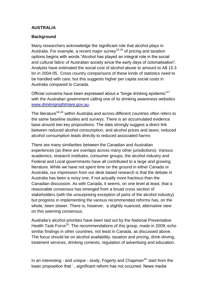#### **AUSTRALIA**

#### **Background**

Many researchers acknowledge the significant role that alcohol plays in Australia. For example, a recent major survey<sup>15,16</sup> of pricing and taxation options begins with words "Alcohol has played an integral role in the social and cultural fabric of Australian society since the early days of colonialisation". Analysts have estimated the social cost of alcohol abuse to amount to A\$ 15.3 bn in 2004-05. Cross country comparisons of these kinds of statistics need to be handled with care, but this suggests higher per capita social costs in Australia compared to Canada.

Official concerns have been expressed about a "binge drinking epidemic"<sup>17</sup> with the Australian government calling one of its drinking awareness websites *[www.drinkingnightmare.gov.au](http://www.drinkingnightmare.gov.au/)*.

The literature<sup>18-24</sup> within Australia and across different countries often refers to the same baseline studies and surveys. There is an accumulated evidence base around two key propositions. The data strongly suggest a direct link between reduced alcohol consumption, and alcohol prices and taxes; reduced alcohol consumption leads directly to reduced associated harms

There are many similarities between the Canadian and Australian experiences (as there are overlaps across many other jurisdictions). Various academics, research institutes, consumer groups, the alcohol industry and Federal and Local governments have all contributed to a large and growing literature. While we have not spent time on the ground in either Canada or Australia, our impression from our desk based research is that the debate in Australia has been a noisy one, if not actually more fractious than the Canadian discussion. As with Canada, it seems, on one level at least, that a reasonable consensus has emerged from a broad cross section of stakeholders (with the unsurprising exception of parts of the alcohol industry) but progress in implementing the various recommended reforms has, on the whole, been slower. There is, however, a slightly nuanced, alternative view on this seeming consensus.

Australia's alcohol priorities have been laid out by the National Preventative Health Task Force<sup>25</sup>. The recommendations of this group, made in 2009, echo similar findings in other countries, not least in Canada, as discussed above. The focus should be on alcohol availability, taxation and pricing, drink-driving, treatment services, drinking contexts, regulation of advertising and education.

In an interesting - and unique - study, Fogerty and Chapman<sup>24</sup> start from the basic proposition that '...significant reform has not occurred. News media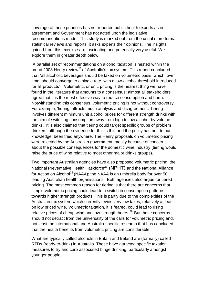coverage of these priorities has not reported public health experts as in agreement and Government has not acted upon the legislative recommendations made'. This study is marked out from the usual more formal statistical reviews and reports: it asks experts their opinions. The insights gained from this exercise are fascinating and potentially very useful. We explore them in greater depth below.

A parallel set of recommendations on alcohol taxation is nested within the broad 2008 Henry review<sup>26</sup> of Australia's tax system. This report concluded that "all alcoholic beverages should be taxed on volumetric basis, which, over time, should converge to a single rate, with a low-alcohol threshold introduced for all products". Volumetric, or unit, pricing is the nearest thing we have found in the literature that amounts to a consensus: almost all stakeholders agree that it is the most effective way to reduce consumption and harm. Notwithstanding this consensus, volumetric pricing is not without controversy. For example, 'tiering' attracts much analysis and disagreement. Tiering involves different minimum unit alcohol prices for different strength drinks with the aim of switching consumption away from high to low alcohol-by-volume drinks. It is also claimed that tiering could target specific groups of problem drinkers, although the evidence for this is thin and the policy has not, to our knowledge, been tried anywhere. The Henry proposals on volumetric pricing were rejected by the Australian government, mostly because of concerns about the possible consequences for the domestic wine industry (tiering would raise the price of wine relative to most other major drinks groups).

Two important Australian agencies have also proposed volumetric pricing, the National Preventative Health Taskforce<sup>27</sup> (NPHT) and the National Alliance for Action on Alcohol<sup>28</sup> (NAAA); the NAAA is an umbrella body for over 50 leading Australian health organisations. Both agencies also argue for tiered pricing. The most common reason for tiering is that there are concerns that simple volumetric pricing could lead to a switch in consumption patterns towards higher strength products. This is partly due to the complexities of the Australian tax system which currently levies very low taxes, relatively at least, on low priced wine. Volumetric taxation, it is feared, could lead to rising relative prices of cheap wine and low-strength beers.<sup>29</sup> But these concerns should not detract from the universality of the calls for volumetric pricing and, not least the international and Australia-specific research that has concluded that the health benefits from volumetric pricing are considerable.

What are typically called alcohols in Britain and Ireland are (formally) called RTDs (ready-to-drink) in Australia. These have attracted specific taxation measures to try and curb associated binge drinking, particularly amongst younger people.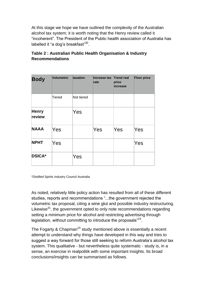At this stage we hope we have outlined the complexity of the Australian alcohol tax system; it is worth noting that the Henry review called it "incoherent". The President of the Public health association of Australia has labelled it "a dog's breakfast"<sup>30</sup>.

| <b>Body</b>            | <b>Volumetric</b> | taxation   | Increase tax Trend real<br>rate | price<br><i>increase</i> | <b>Floor price</b> |
|------------------------|-------------------|------------|---------------------------------|--------------------------|--------------------|
|                        | Tiered            | Not tiered |                                 |                          |                    |
| <b>Henry</b><br>review |                   | Yes        |                                 |                          |                    |
| <b>NAAA</b>            | Yes               |            | Yes                             | Yes                      | Yes                |
| <b>NPHT</b>            | Yes               |            |                                 |                          | Yes                |
| <b>DSICA*</b>          |                   | Yes        |                                 |                          |                    |

## **Table 2 : Australian Public Health Organisation & Industry Recommendations**

\*Distilled Spirits Industry Council Australia

As noted, relatively little policy action has resulted from all of these different studies, reports and recommendations "...the government rejected the volumetric tax proposal, citing a wine glut and possible industry restructuring. Likewise $31$ , the government opted to only note recommendations regarding setting a minimum price for alcohol and restricting advertising through legislation, without committing to introduce the proposals"<sup>24</sup>.

The Fogarty & Chapman<sup>24</sup> study mentioned above is essentially a recent attempt to understand why things have developed in this way and tries to suggest a way forward for those still seeking to reform Australia's alcohol tax system. This qualitative - but nevertheless quite systematic - study is, in a sense, an exercise in realpolitik with some important insights. Its broad conclusions/insights can be summarised as follows.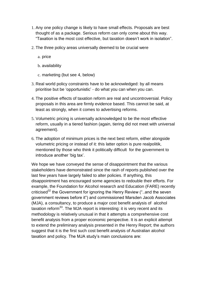- 1. Any one policy change is likely to have small effects. Proposals are best thought of as a package. Serious reform can only come about this way. "Taxation is the most cost effective, but taxation doesn't work in isolation".
- 2. The three policy areas universally deemed to be crucial were
	- a. price
	- b. availability
	- c. marketing (but see 4, below)
- 3. Real world policy constraints have to be acknowledged: by all means prioritise but be 'opportunistic' - do what you can when you can.
- 4. The positive effects of taxation reform are real and uncontroversial. Policy proposals in this area are firmly evidence based. This cannot be said, at least as strongly, when it comes to advertising reforms.
- 5. Volumetric pricing is universally acknowledged to be the most effective reform, usually in a tiered fashion (again, tiering did not meet with universal agreement).
- 6. The adoption of minimum prices is the next best reform, either alongside volumetric pricing or instead of it: this latter option is pure realpolitik, mentioned by those who think it politically difficult for the government to introduce another 'big tax'.

We hope we have conveyed the sense of disappointment that the various stakeholders have demonstrated since the rash of reports published over the last few years have largely failed to alter policies. If anything, this disappointment has encouraged some agencies to redouble their efforts. For example, the Foundation for Alcohol research and Education (FARE) recently criticised<sup>32</sup> the Government for ignoring the Henry Review ("..and the seven government reviews before it") and commissioned Marsden Jacob Associates (MJA), a consultancy, to produce a major cost benefit analysis of alcohol taxation reform<sup>33</sup>. The MJA report is interesting: it is very recent and its methodology is relatively unusual in that it attempts a comprehensive cost benefit analysis from a proper economic perspective. It is an explicit attempt to extend the preliminary analysis presented in the Henry Report; the authors suggest that it is the first such cost benefit analysis of Australian alcohol taxation and policy. The MJA study's main conclusions are: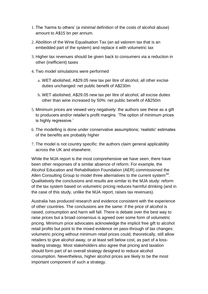- 1. The 'harms to others' (a *minimal* definition of the costs of alcohol abuse) amount to A\$15 bn per annum.
- 2. Abolition of the Wine Equalisation Tax (an ad valorem tax that is an embedded part of the system) and replace it with volumetric tax
- 3. Higher tax revenues should be given back to consumers via a reduction in other (inefficient) taxes
- 4. Two model simulations were performed
	- a. WET abolished, A\$29.05 new tax per litre of alcohol, all other excise duties unchanged: net public benefit of A\$230m
	- b. WET abolished, A\$29.05 new tax per litre of alcohol, all excise duties other than wine increased by 50%: net public benefit of A\$250m
- 5. Minimum prices are viewed very negatively: the authors see these as a gift to producers and/or retailer's profit margins. 'The option of minimum prices is highly regressive.'
- 6. The modelling is done under conservative assumptions; 'realistic' estimates of the benefits are probably higher
- 7. The model is not country specific: the authors claim general applicability across the UK and elsewhere.

While the MJA report is the most comprehensive we have seen, there have been other responses of a similar absence of reform. For example, the Alcohol Education and Rehabilitation Foundation (AER) commissioned the Allen Consulting Group to model three alternatives to the current system $^{34}$ . Qualitatively the conclusions and results are similar to the MJA study: reform of the tax system based on volumetric pricing reduces harmful drinking (and in the case of this study, unlike the MJA report, raises tax revenues).

Australia has produced research and evidence consistent with the experience of other countries. The conclusions are the same: if the price of alcohol is raised, consumption and harm will fall. There is debate over the best way to raise prices but a broad consensus is agreed over some form of volumetric pricing. Minimum price advocates acknowledge the implicit free gift to alcohol retail profits but point to the mixed evidence on pass-through of tax changes: volumetric pricing without minimum retail prices could, theoretically, still allow retailers to give alcohol away, or at least sell below cost, as part of a lossleading strategy. Most stakeholders also agree that pricing and taxation should form part of an overall strategy designed to reduce alcohol consumption. Nevertheless, higher alcohol prices are likely to be the most important component of such a strategy.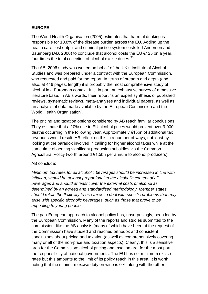#### **EUROPE**

The World Health Organisation (2005) estimates that harmful drinking is responsible for 10.8% of the disease burden across the EU. Adding up the health care, lost output and criminal justice system costs led Anderson and Baumberg (AB, 2006) to conclude that alcohol costs the EU  $\epsilon$ 125 bn a year, four times the total collection of alcohol excise duties.<sup>35</sup>

The AB, 2006 study was written on behalf of the UK's Institute of Alcohol Studies and was prepared under a contract with the European Commission, who requested and paid for the report. In terms of breadth and depth (and also, at 446 pages, length) it is probably the most comprehensive study of alcohol in a European context. It is, in part, an exhaustive survey of a massive literature base. In AB's words, their report 'is an expert synthesis of published reviews, systematic reviews, meta-analyses and individual papers, as well as an analysis of data made available by the European Commission and the World Health Organisation'.

The pricing and taxation options considered by AB reach familiar conclusions. They estimate that a 10% rise in EU alcohol prices would prevent over 9,000 deaths occurring in the following year. Approximately €13bn of additional tax revenues would result. AB reflect on this in a number of ways, not least by looking at the paradox involved in calling for higher alcohol taxes while at the same time observing significant production subsidies via the Common Agricultural Policy (worth around €1.5bn per annum to alcohol producers).

#### AB conclude:

*Minimum tax rates for all alcoholic beverages should be increased in line with inflation, should be at least proportional to the alcoholic content of all beverages and should at least cover the external costs of alcohol as determined by an agreed and standardised methodology. Member states should retain the flexibility to use taxes to deal with specific problems that may arise with specific alcoholic beverages, such as those that prove to be appealing to young people.*

The pan-European approach to alcohol policy has, unsurprisingly, been led by the European Commission. Many of the reports and studies submitted to the commission, like the AB analysis (many of which have been at the request of the Commission) have studied and reached orthodox and consistent conclusions about pricing and taxation (as well as comprehensively covering many or all of the non-price and taxation aspects). Clearly, this is a sensitive area for the Commission: alcohol pricing and taxation are, for the most part, the responsibility of national governments. The EU has set minimum excise rates but this amounts to the limit of its policy reach in this area. It is worth noting that the minimum excise duty on wine is 0%: along with the other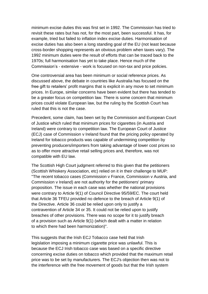minimum excise duties this was first set in 1992. The Commission has tried to revisit these rates but has not, for the most part, been successful. It has, for example, tried but failed to inflation index excise duties. Harmonisation of excise duties has also been a long standing goal of the EU (not least because cross-border shopping represents an obvious problem when taxes vary). The 1992 minimum duties were the result of efforts that can be traced back to the 1970s; full harmonisation has yet to take place. Hence much of the Commission's - extensive - work is focused on non-tax and price policies.

One controversial area has been minimum or social reference prices. As discussed above, the debate in countries like Australia has focused on the free gift to retailers' profit margins that is explicit in any move to set minimum prices. In Europe, similar concerns have been evident but there has tended to be a greater focus on competition law. There is some concern that minimum prices could violate European law, but the ruling by the Scottish Court has ruled that this is not the case.

Precedent, some claim, has been set by the Commission and European Court of Justice which ruled that minimum prices for cigarettes (in Austria and Ireland) were contrary to competition law. The European Court of Justice (ECJ) case of Commission v Ireland found that the pricing policy operated by Ireland for tobacco products was capable of undermining competition by preventing producers/importers from taking advantage of lower cost prices so as to offer more attractive retail selling prices and, therefore, was not compatible with EU law.

The Scottish High Court judgment referred to this given that the petitioners (Scottish Whiskery Association, etc) relied on it in their challenge to MUP: "The recent tobacco cases (Commission v France, Commission v Austria, and Commission v Ireland) are not authority for the petitioners' primary proposition. The issue in each case was whether the national provisions were contrary to Article 9(1) of Council Directive 95/59/EC. The court held that Article 36 TFEU provided no defence to the breach of Article 9(1) of the Directive. Article 36 could be relied upon only to justify a contravention of Article 34 or 35. It could not be relied upon to justify breaches of other provisions. There was no scope for it to justify breach of a provision such as Article 9(1) (which dealt with a matter in relation to which there had been harmonization)".

This suggests that the Irish ECJ Tobacco case held that Irish legislation imposing a minimum cigarette price was unlawful. This is because the ECJ Irish tobacco case was based on a specific directive concerning excise duties on tobacco which provided that the maximum retail price was to be set by manufacturers. The ECJ's objection then was not to the interference with the free movement of goods but that the Irish system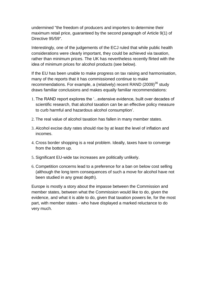undermined "the freedom of producers and importers to determine their maximum retail price, guaranteed by the second paragraph of Article 9(1) of Directive 95/59".

Interestingly, one of the judgements of the ECJ ruled that while public health considerations were clearly important, they could be achieved via taxation, rather than minimum prices. The UK has nevertheless recently flirted with the idea of minimum prices for alcohol products (see below).

If the EU has been unable to make progress on tax raising and harmonisation, many of the reports that it has commissioned continue to make recommendations. For example, a (relatively) recent RAND (2009) $^{36}$  study draws familiar conclusions and makes equally familiar recommendations:

- 1. The RAND report explores the '...extensive evidence, built over decades of scientific research, that alcohol taxation can be an effective policy measure to curb harmful and hazardous alcohol consumption'.
- 2. The real value of alcohol taxation has fallen in many member states.
- 3. Alcohol excise duty rates should rise by at least the level of inflation and incomes.
- 4. Cross border shopping is a real problem. Ideally, taxes have to converge from the bottom up.
- 5. Significant EU-wide tax increases are politically unlikely.
- 6. Competition concerns lead to a preference for a ban on below cost selling (although the long term consequences of such a move for alcohol have not been studied in any great depth).

Europe is mostly a story about the impasse between the Commission and member states, between what the Commission would like to do, given the evidence, and what it is able to do, given that taxation powers lie, for the most part, with member states - who have displayed a marked reluctance to do very much.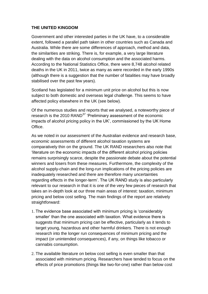#### **THE UNITED KINGDOM**

Government and other interested parties in the UK have, to a considerable extent, followed a parallel path taken in other countries such as Canada and Australia. While there are some differences of approach, method and data, the similarities are striking. There is, for example, a very large literature dealing with the data on alcohol consumption and the associated harms. According to the National Statistics Office, there were 8,748 alcohol related deaths in the UK in 2011, twice as many as were recorded in the early 1990s (although there is a suggestion that the number of fatalities may have broadly stabilised over the past few years).

Scotland has legislated for a minimum unit price on alcohol but this is now subject to both domestic and overseas legal challenge. This seems to have affected policy elsewhere in the UK (see below).

Of the numerous studies and reports that we analysed, a noteworthy piece of research is the 2010 RAND<sup>37</sup> 'Preliminary assessment of the economic impacts of alcohol pricing policy in the UK', commissioned by the UK Home Office.

As we noted in our assessment of the Australian evidence and research base, *economic* assessments of different alcohol taxation systems are comparatively thin on the ground. The UK RAND researchers also note that 'literature on the economic impacts of the different alcohol pricing policies remains surprisingly scarce, despite the passionate debate about the potential winners and losers from these measures. Furthermore, the complexity of the alcohol supply-chain and the long-run implications of the pricing policies are inadequately researched and there are therefore many uncertainties regarding effects in the longer-term'. The UK RAND study is also particularly relevant to our research in that it is one of the very few pieces of research that takes an in-depth look at our three main areas of interest: taxation, minimum pricing and below cost selling. The main findings of the report are relatively straightforward:

- 1. The evidence base associated with minimum pricing is 'considerably smaller' than the one associated with taxation. What evidence there is suggests that minimum pricing can be effective, particularly as it tends to target young, hazardous and other harmful drinkers. There is not enough research into the longer run consequences of minimum pricing and the impact (or unintended consequences), if any, on things like tobacco or cannabis consumption.
- 2. The available literature on below cost selling is even smaller than that associated with minimum pricing. Researchers have tended to focus on the effects of price promotions (things like two-for-one) rather than below cost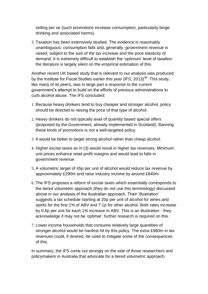selling per se (such promotions increase consumption, particularly binge drinking and associated harms).

3. Taxation has been extensively studied. The evidence is reasonably unambiguous: consumption falls and, generally, government revenue is raised, subject to the size of the tax increase and the price elasticity of demand. It is extremely difficult to establish the 'optimum' level of taxation: the literature is largely silent on the empirical estimation of this.

Another recent UK based study that is relevant to our analysis was produced by the Institute for Fiscal Studies earlier this year (IFS,  $2013$ )<sup>38</sup>. This study, like many of its peers, was in large part a response to the current government's attempt to build on the efforts of previous administrations to curb alcohol abuse. The IFS concluded:

- 1. Because heavy drinkers tend to buy cheaper and stronger alcohol, policy should be directed to raising the price of that type of alcohol.
- 2. Heavy drinkers do not typically avail of quantity based special offers (proposed by the Government, already implemented in Scotland). Banning these kinds of promotions is not a well-targeted policy.
- 3. It would be better to target strong alcohol rather than cheap alcohol.
- 4. Higher excise taxes as in (3) would result in higher tax revenues. Minimum unit prices enhance retail profit margins and would lead to falls in government revenue
- 5. A volumetric target of 45p per unit of alcohol would reduce tax revenue by approximately £290m and raise industry income by around £840m.
- 6. The IFS proposes a reform of excise taxes which essentially corresponds to the tiered volumetric approach (they do not use this terminology) discussed above in our analysis of the Australian approach. Their 'illustration' suggests a tax schedule starting at 20p per unit of alcohol for wines and spirits for the first 1% of ABV and 7.1p for other alcohol. Both rates increase by 0.6p per unit for each 1% increase in ABV. This is an illustration - they acknowledge it may not be 'optimal': further research is required on this.
- 7. Lower income households that consume relatively large quantities of stronger alcohol would be hardest hit by this policy. The extra £980m in tax revenues could, if desired, be used to mitigate some of the consequences of this.

In summary, the IFS come out strongly on the side of those researchers and policymakers in Australia that advocate for a tiered volumetric approach.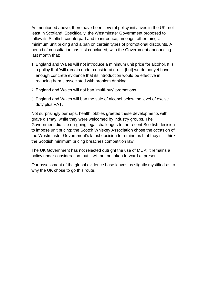As mentioned above, there have been several policy initiatives in the UK, not least in Scotland. Specifically, the Westminster Government proposed to follow its Scottish counterpart and to introduce, amongst other things, minimum unit pricing and a ban on certain types of promotional discounts. A period of consultation has just concluded, with the Government announcing last month that:

- 1. England and Wales will not introduce a minimum unit price for alcohol. It is a policy that 'will remain under consideration......[but] we do not yet have enough concrete evidence that its introduction would be effective in reducing harms associated with problem drinking.
- 2. England and Wales will not ban 'multi-buy' promotions.
- 3. England and Wales will ban the sale of alcohol below the level of excise duty plus VAT.

Not surprisingly perhaps, health lobbies greeted these developments with grave dismay, while they were welcomed by industry groups. The Government did cite on-going legal challenges to the recent Scottish decision to impose unit pricing; the Scotch Whiskey Association chose the occasion of the Westminster Government's latest decision to remind us that they still think the Scottish minimum pricing breaches competition law.

The UK Government has not rejected outright the use of MUP: it remains a policy under consideration, but it will not be taken forward at present.

Our assessment of the global evidence base leaves us slightly mystified as to why the UK chose to go this route.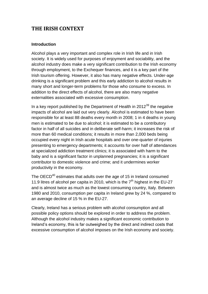## **THE IRISH CONTEXT**

#### **Introduction**

Alcohol plays a very important and complex role in Irish life and in Irish society. It is widely used for purposes of enjoyment and sociability, and the alcohol industry does make a very significant contribution to the Irish economy through employment, to the Exchequer finances, and it is a key part of the Irish tourism offering. However, it also has many negative effects. Under-age drinking is a significant problem and this early addiction to alcohol results in many short and longer-term problems for those who consume to excess. In addition to the direct effects of alcohol, there are also many negative externalities associated with excessive consumption.

In a key report published by the Department of Health in  $2012^{39}$  the negative impacts of alcohol are laid out very clearly. Alcohol is estimated to have been responsible for at least 88 deaths every month in 2008; 1 in 4 deaths in young men is estimated to be due to alcohol; it is estimated to be a contributory factor in half of all suicides and in deliberate self-harm; it increases the risk of more than 60 medical conditions; it results in more than 2,000 beds being occupied every night in Irish acute hospitals and over one-quarter of injuries presenting to emergency departments; it accounts for over half of attendances at specialized addiction treatment clinics; it is associated with harm to the baby and is a significant factor in unplanned pregnancies; it is a significant contributor to domestic violence and crime; and it undermines worker productivity in the economy.

The OECD<sup>40</sup> estimates that adults over the age of 15 in Ireland consumed 11.9 litres of alcohol per capita in 2010, which is the  $7<sup>th</sup>$  highest in the EU-27 and is almost twice as much as the lowest consuming country, Italy. Between 1980 and 2010, consumption per capita in Ireland grew by 24 %, compared to an average decline of 15 % in the EU-27.

Clearly, Ireland has a serious problem with alcohol consumption and all possible policy options should be explored in order to address the problem. Although the alcohol industry makes a significant economic contribution to Ireland's economy, this is far outweighed by the direct and indirect costs that excessive consumption of alcohol imposes on the Irish economy and society.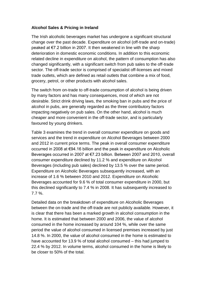#### **Alcohol Sales & Pricing in Ireland**

The Irish alcoholic beverages market has undergone a significant structural change over the past decade. Expenditure on alcohol (off-trade and on-trade) peaked at €7.2 billion in 2007. It then weakened in line with the sharp deterioration in domestic economic conditions. In addition to this economic related decline in expenditure on alcohol, the pattern of consumption has also changed significantly, with a significant switch from pub sales to the off-trade sector. The off-trade sector is comprised of specialist off-licenses and mixed trade outlets, which are defined as retail outlets that combine a mix of food, grocery, petrol, or other products with alcohol sales.

The switch from on-trade to off-trade consumption of alcohol is being driven by many factors and has many consequences, most of which are not desirable. Strict drink driving laws, the smoking ban in pubs and the price of alcohol in pubs, are generally regarded as the three contributory factors impacting negatively on pub sales. On the other hand, alcohol is much cheaper and more convenient in the off-trade sector, and is particularly favoured by young drinkers.

Table 3 examines the trend in overall consumer expenditure on goods and services and the trend in expenditure on Alcohol Beverages between 2000 and 2012 in current price terms. The peak in overall consumer expenditure occurred in 2008 at €94.16 billion and the peak in expenditure on Alcoholic Beverages occurred in 2007 at €7.23 billion. Between 2007 and 2010, overall consumer expenditure declined by 11.2 % and expenditure on Alcohol Beverages (including pub sales) declined by 13.5 % over the same period. Expenditure on Alcoholic Beverages subsequently increased, with an increase of 1.6 % between 2010 and 2012. Expenditure on Alcoholic Beverages accounted for 9.6 % of total consumer expenditure in 2000, but this declined significantly to 7.4 % in 2008. It has subsequently increased to 7.7 %.

Detailed data on the breakdown of expenditure on Alcoholic Beverages between the on-trade and the off-trade are not publicly available. However, it is clear that there has been a marked growth in alcohol consumption in the home. It is estimated that between 2000 and 2006, the value of alcohol consumed in the home increased by around 104 %, while over the same period the value of alcohol consumed in licensed premises increased by just 14.8 %. In 2000, the value of alcohol consumed in the home is estimated to have accounted for 13.9 % of total alcohol consumed – this had jumped to 22.4 % by 2012. In volume terms, alcohol consumed in the home is likely to be closer to 50% of the total.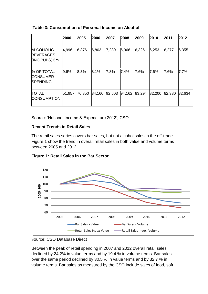#### **Table 3: Consumption of Personal Income on Alcohol**

|                                                           | 2000   | 2005   | 2006   | 2007   | 2008   | 2009   | 2010   | 2011   | 2012    |
|-----------------------------------------------------------|--------|--------|--------|--------|--------|--------|--------|--------|---------|
| <b>ALCOHOLIC</b><br><b>BEVERAGES</b><br>$ $ (INC PUBS) €m | 4,996  | 6,376  | 6,803  | 7,230  | 6,966  | 6,326  | 6,253  | 6,277  | 6,355   |
| % OF TOTAL<br><b>CONSUMER</b><br><b>SPENDING</b>          | 9.6%   | 8.3%   | 8.1%   | 7.8%   | 7.4%   | 7.6%   | 7.6%   | 7.6%   | $7.7\%$ |
| <b>TOTAL</b><br><b>CONSUMPTION</b>                        | 51,957 | 76,850 | 84,160 | 92,603 | 94,162 | 83,294 | 82,200 | 82,380 | 82,634  |

Source: 'National Income & Expenditure 2012', CSO.

#### **Recent Trends in Retail Sales**

The retail sales series covers bar sales, but not alcohol sales in the off-trade. Figure 1 show the trend in overall retail sales in both value and volume terms between 2005 and 2012.



## **Figure 1: Retail Sales in the Bar Sector**

Between the peak of retail spending in 2007 and 2012 overall retail sales declined by 24.2% in value terms and by 19.4 % in volume terms. Bar sales over the same period declined by 30.5 % in value terms and by 32.7 % in volume terms. Bar sales as measured by the CSO include sales of food, soft

Source: CSO Database Direct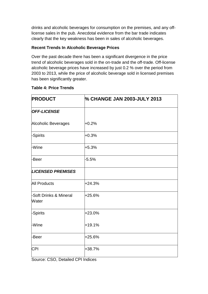drinks and alcoholic beverages for consumption on the premises, and any offlicense sales in the pub. Anecdotal evidence from the bar trade indicates clearly that the key weakness has been in sales of alcoholic beverages.

#### **Recent Trends In Alcoholic Beverage Prices**

Over the past decade there has been a significant divergence in the price trend of alcoholic beverages sold in the on-trade and the off-trade. Off-license alcoholic beverage prices have increased by just 0.2 % over the period from 2003 to 2013, while the price of alcoholic beverage sold in licensed premises has been significantly greater.

٦Ī.

#### **Table 4: Price Trends**

| <b>PRODUCT</b>                  | % CHANGE JAN 2003-JULY 2013 |
|---------------------------------|-----------------------------|
| <b>OFF-LICENSE</b>              |                             |
| Alcoholic Beverages             | $+0.2%$                     |
| -Spirits                        | $+0.3%$                     |
| -Wine                           | $+5.3%$                     |
| -Beer                           | $-5.5%$                     |
| <b>LICENSED PREMISES</b>        |                             |
| <b>All Products</b>             | $+24.3%$                    |
| -Soft Drinks & Mineral<br>Water | $+25.6%$                    |
| -Spirits                        | $+23.0%$                    |
| -Wine                           | $+19.1%$                    |
| -Beer                           | $+25.6%$                    |
| <b>CPI</b>                      | +38.7%                      |

Source: CSO, Detailed CPI Indices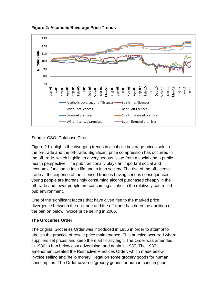



#### Source: CSO, Database Direct

Figure 2 highlights the diverging trends in alcoholic beverage prices sold in the on-trade and the off-trade. Significant price compression has occurred in the off-trade, which highlights a very serious issue from a social and a public health perspective. The pub traditionally plays an important social and economic function in Irish life and in Irish society. The rise of the off-license trade at the expense of the licensed trade is having serious consequences – young people are increasingly consuming alcohol purchased cheaply in the off-trade and fewer people are consuming alcohol in the relatively controlled pub environment.

One of the significant factors that have given rise to the marked price divergence between the on-trade and the off-trade has been the abolition of the ban on below invoice price selling in 2006.

#### **The Groceries Order**

The original Groceries Order was introduced in 1956 in order to attempt to abolish the practice of resale price maintenance. This practice occurred where suppliers set prices and keep them artificially high. The Order was amended in 1980 to ban below cost advertising, and again in 1987. The 1987 amendment created the Restrictive Practices Order, which made below invoice selling and 'hello money' illegal on some grocery goods for human consumption. The Order covered 'grocery goods for human consumption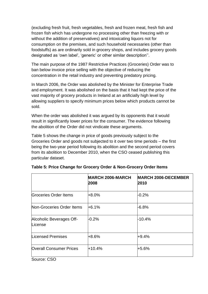(excluding fresh fruit, fresh vegetables, fresh and frozen meat, fresh fish and frozen fish which has undergone no processing other than freezing with or without the addition of preservatives) and intoxicating liquors not for consumption on the premises, and such household necessaries (other than foodstuffs) as are ordinarily sold in grocery shops, and includes grocery goods designated as 'own label', 'generic' or other similar description''.

The main purpose of the 1987 Restrictive Practices (Groceries) Order was to ban below invoice price selling with the objective of reducing the concentration in the retail industry and preventing predatory pricing.

In March 2006, the Order was abolished by the Minister for Enterprise Trade and employment. It was abolished on the basis that it had kept the price of the vast majority of grocery products in Ireland at an artificially high level by allowing suppliers to specify minimum prices below which products cannot be sold.

When the order was abolished it was argued by its opponents that it would result in significantly lower prices for the consumer. The evidence following the abolition of the Order did not vindicate these arguments.

Table 5 shows the change in price of goods previously subject to the Groceries Order and goods not subjected to it over two time periods – the first being the two-year period following its abolition and the second period covers from its abolition to December 2010, when the CSO ceased publishing this particular dataset.

| <b>MARCH 2006-MARCH</b><br>2008 | <b>MARCH 2006-DECEMBER</b><br>2010 |
|---------------------------------|------------------------------------|
| $+8.0%$                         | $-0.2%$                            |
| $+6.1%$                         | $-6.8%$                            |
| $-0.2%$                         | -10.4%                             |
| $+8.6%$                         | $+9.4%$                            |
| $+10.4%$                        | +5.6%                              |
|                                 |                                    |

| Table 5: Price Change for Grocery Order & Non-Grocery Order Items |  |  |  |
|-------------------------------------------------------------------|--|--|--|
|                                                                   |  |  |  |

Source: CSO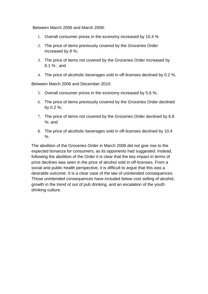Between March 2006 and March 2008:

- 1. Overall consumer prices in the economy increased by 10.4 %
- 2. The price of items previously covered by the Groceries Order increased by 8 %;
- 3. The price of items not covered by the Groceries Order increased by 6.1 % ; and
- 4. The price of alcoholic beverages sold in off-licenses declined by 0.2 %.

Between March 2006 and December 2010:

- 5. Overall consumer prices in the economy increased by 5.6 %;
- 6. The price of items previously covered by the Groceries Order declined by 0.2 %;
- 7. The price of items not covered by the Groceries Order declined by 6.8 %; and
- 8. The price of alcoholic beverages sold in off-licenses declined by 10.4  $\%$ .

The abolition of the Groceries Order in March 2006 did not give rise to the expected bonanza for consumers, as its opponents had suggested. Instead, following the abolition of the Order it is clear that the key impact in terms of price declines was seen in the price of alcohol sold in off-licenses. From a social and public health perspective, it is difficult to argue that this was a desirable outcome. It is a clear case of the law of unintended consequences. Those unintended consequences have included below cost selling of alcohol, growth in the trend of out of pub drinking, and an escalation of the youth drinking culture.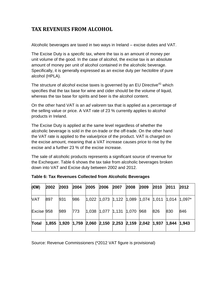# **TAX REVENUES FROM ALCOHOL**

Alcoholic beverages are taxed in two ways in Ireland – excise duties and VAT.

The Excise Duty is a *specific* tax, where the tax is an amount of money per unit volume of the good. In the case of alcohol, the excise tax is an absolute amount of money per unit of alcohol contained in the alcoholic beverage. Specifically, it is generally expressed as an excise duty per hectolitre of pure alcohol (HPLA).

The structure of alcohol excise taxes is governed by an EU Directive $41$  which specifies that the tax base for wine and cider should be the volume of liquid, whereas the tax base for spirits and beer is the alcohol content.

On the other hand VAT is an *ad valorem* tax that is applied as a percentage of the selling value or price. A VAT rate of 23 % currently applies to alcohol products in Ireland.

The Excise Duty is applied at the same level regardless of whether the alcoholic beverage is sold in the on-trade or the off-trade. On the other hand the VAT rate is applied to the value/price of the product. VAT is charged on the excise amount, meaning that a VAT increase causes price to rise by the excise and a further 23 % of the excise increase.

The sale of alcoholic products represents a significant source of revenue for the Exchequer. Table 6 shows the tax take from alcoholic beverages broken down into VAT and Excise duty between 2002 and 2012.

| (€M)         | 2002 | 2003 | 2004 | 2005 | 2006 | 2007 | 2008                                                                      | 2009 | 2010 | 2011 | 2012 |
|--------------|------|------|------|------|------|------|---------------------------------------------------------------------------|------|------|------|------|
| VAT          | 897  | 931  | 986  |      |      |      | $ 1,022$ $ 1,073$ $ 1,122$ $ 1,089$ $ 1,074$ $ 1,011$ $ 1,014$ $ 1,097$ * |      |      |      |      |
| Excise 958   |      | 989  | 773  |      |      |      | $ 1,038$ $ 1,077$ $ 1,131$ $ 1,070$ 968                                   |      | 826  | 830  | 846  |
| <b>Total</b> |      |      |      |      |      |      | $ 1,855$ 1,920 1,759 2,060 2,150 2,253 2,159 2,042 1,937 1,844 1,943      |      |      |      |      |

| Table 6: Tax Revenues Collected from Alcoholic Beverages |
|----------------------------------------------------------|
|----------------------------------------------------------|

Source: Revenue Commissioners (\*2012 VAT figure is provisional)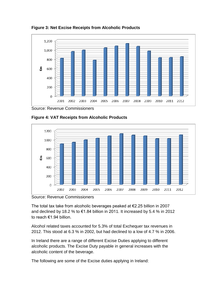**Figure 3: Net Excise Receipts from Alcoholic Products**



Source: Revenue Commissioners





Source: Revenue Commissioners

The total tax take from alcoholic beverages peaked at €2.25 billion in 2007 and declined by 18.2 % to  $\epsilon$ 1.84 billion in 2011. It increased by 5.4 % in 2012 to reach €1.94 billion.

Alcohol related taxes accounted for 5.3% of total Exchequer tax revenues in 2012. This stood at 6.3 % in 2002, but had declined to a low of 4.7 % in 2006.

In Ireland there are a range of different Excise Duties applying to different alcoholic products. The Excise Duty payable in general increases with the alcoholic content of the beverage.

The following are some of the Excise duties applying in Ireland: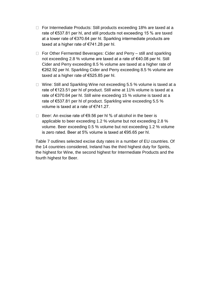- □ For Intermediate Products: Still products exceeding 18% are taxed at a rate of €537.81 per hl, and still products not exceeding 15 % are taxed at a lower rate of €370.64 per hl. Sparkling intermediate products are taxed at a higher rate of €741.28 per hl.
- $\Box$  For Other Fermented Beverages: Cider and Perry still and sparkling not exceeding 2.8 % volume are taxed at a rate of €40.08 per hl. Still Cider and Perry exceeding 8.5 % volume are taxed at a higher rate of €262.92 per hl. Sparkling Cider and Perry exceeding 8.5 % volume are taxed at a higher rate of €525.85 per hl.
- □ Wine: Still and Sparkling Wine not exceeding 5.5 % volume is taxed at a rate of €123.51 per hl of product. Still wine at 11% volume is taxed at a rate of €370.64 per hl. Still wine exceeding 15 % volume is taxed at a rate of €537.81 per hl of product. Sparkling wine exceeding 5.5 % volume is taxed at a rate of €741.27.
- □ Beer: An excise rate of  $€9.56$  per hl % of alcohol in the beer is applicable to beer exceeding 1.2 % volume but not exceeding 2.8 % volume. Beer exceeding 0.5 % volume but not exceeding 1.2 % volume is zero rated. Beer at 5% volume is taxed at €95.65 per hl.

Table 7 outlines selected excise duty rates in a number of EU countries. Of the 14 countries considered, Ireland has the third highest duty for Spirits, the highest for Wine, the second highest for Intermediate Products and the fourth highest for Beer.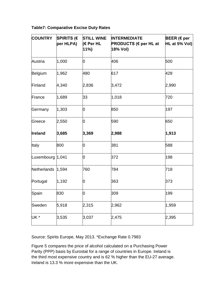#### **Table7: Comparative Excise Duty Rates**

| <b>COUNTRY</b>     | <b>SPIRITS (€</b><br>per HLPA) | <b>STILL WINE</b><br>(€ Per HL<br>$11\%$ | <b>INTERMEDIATE</b><br><b>PRODUCTS (€ per HL at</b><br>18% Vol) | <b>BEER</b> (€ per<br>HL at 5% Vol) |
|--------------------|--------------------------------|------------------------------------------|-----------------------------------------------------------------|-------------------------------------|
| Austria            | 1,000                          | 0                                        | 406                                                             | 500                                 |
| Belgium            | 1,962                          | 480                                      | 617                                                             | 428                                 |
| Finland            | 4,340                          | 2,836                                    | 3,472                                                           | 2,990                               |
| France             | 1,689                          | 33                                       | 1,018                                                           | 720                                 |
| Germany            | 1,303                          | 0                                        | 850                                                             | 197                                 |
| Greece             | 2,550                          | 0                                        | 590                                                             | 650                                 |
| <b>Ireland</b>     | 3,685                          | 3,369                                    | 2,988                                                           | 1,913                               |
| Italy              | 800                            | 0                                        | 381                                                             | 588                                 |
| Luxembourg   1,041 |                                | 0                                        | 372                                                             | 198                                 |
| Netherlands        | 1,594                          | 760                                      | 784                                                             | 718                                 |
| Portugal           | 1,192                          | 0                                        | 363                                                             | 373                                 |
| Spain              | 830                            | 0                                        | 309                                                             | 199                                 |
| Sweden             | 5,918                          | 2,315                                    | 2,962                                                           | 1,959                               |
| UK *               | 3,535                          | 3,037                                    | 2,475                                                           | 2,395                               |

Source: Spirits Europe, May 2013. \*Exchange Rate 0.7983

Figure 5 compares the price of alcohol calculated on a Purchasing Power Parity (PPP) basis by Eurostat for a range of countries in Europe. Ireland is the third most expensive country and is 62 % higher than the EU-27 average. Ireland is 13.3 % more expensive than the UK.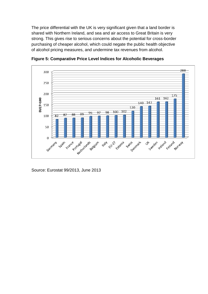The price differential with the UK is very significant given that a land border is shared with Northern Ireland, and sea and air access to Great Britain is very strong. This gives rise to serious concerns about the potential for cross-border purchasing of cheaper alcohol, which could negate the public health objective of alcohol pricing measures, and undermine tax revenues from alcohol.



**Figure 5: Comparative Price Level Indices for Alcoholic Beverages**

Source: Eurostat 99/2013, June 2013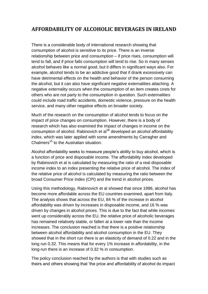## **AFFORDABILITY OF ALCOHOLIC BEVERAGES IN IRELAND**

There is a considerable body of international research showing that consumption of alcohol is sensitive to its price. There is an inverse relationship between price and consumption – if price rises, consumption will tend to fall, and if price falls consumption will tend to rise. So in many senses alcohol behaves like a normal good, but it differs in significant ways also. For example, alcohol tends to be an addictive good that if drank excessively can have detrimental effects on the health and behavior of the person consuming the alcohol, but it can also have significant negative externalities attaching. A negative externality occurs when the consumption of an item creates costs for others who are not party to the consumption in question. Such externalities could include road traffic accidents, domestic violence, pressure on the health service, and many other negative effects on broader society.

Much of the research on the consumption of alcohol tends to focus on the impact of price changes on consumption. However, there is a body of research which has also examined the impact of changes in income on the consumption of alcohol. Rabinovich et al<sup>36</sup> developed an alcohol affordability index, which was later applied with some amendments by Carragher and Chalmers<sup>15</sup> to the Australian situation.

Alcohol affordability seeks to measure people's ability to buy alcohol, which is a function of price and disposable income. The affordability index developed by Rabinovich et al is calculated by measuring the ratio of a real disposable income index to an index presenting the relative price of alcohol. The index of the relative price of alcohol is calculated by measuring the ratio between the broad Consumer Price Index (CPI) and the trend in alcohol prices.

Using this methodology, Rabinovich et al showed that since 1996, alcohol has become more affordable across the EU countries examined, apart from Italy. The analysis shows that across the EU, 84 % of the increase in alcohol affordability was driven by increases in disposable income, and 16 % was driven by changes in alcohol prices. This is due to the fact that while incomes went up considerably across the EU, the relative price of alcoholic beverages has remained relatively stable, or fallen at a lower rate than the income increases. The conclusion reached is that there is a positive relationship between alcohol affordability and alcohol consumption in the EU. They showed that in the short run there is an elasticity of demand of 0.22 and in the long run 0.32. This means that for every 1% increase in affordability, in the long-run there is an increase of 0.32 % in consumption.

The policy conclusion reached by the authors is that with studies such as theirs and others showing that 'the price and affordability of alcohol do impact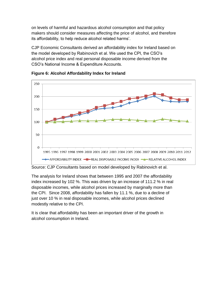on levels of harmful and hazardous alcohol consumption and that policy makers should consider measures affecting the price of alcohol, and therefore its affordability, to help reduce alcohol related harms'.

CJP Economic Consultants derived an affordability index for Ireland based on the model developed by Rabinovich et al. We used the CPI, the CSO's alcohol price index and real personal disposable income derived from the CSO's National Income & Expenditure Accounts.



**Figure 6: Alcohol Affordability Index for Ireland**

Source: CJP Consultants based on model developed by Rabinovich et al.

The analysis for Ireland shows that between 1995 and 2007 the affordability index increased by 102 %. This was driven by an increase of 111.2 % in real disposable incomes, while alcohol prices increased by marginally more than the CPI. Since 2008, affordability has fallen by 11.1 %, due to a decline of just over 10 % in real disposable incomes, while alcohol prices declined modestly relative to the CPI.

It is clear that affordability has been an important driver of the growth in alcohol consumption in Ireland.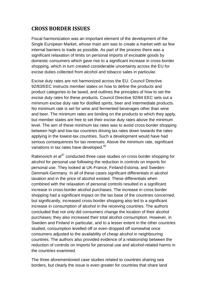## **CROSS BORDER ISSUES**

Fiscal harmonization was an important element of the development of the Single European Market, whose main aim was to create a market with as few internal barriers to trade as possible. As part of the process there was a significant relaxation of limits on personal imports of excisable goods by domestic consumers which gave rise to a significant increase in cross-border shopping, which in turn created considerable uncertainty across the EU for excise duties collected from alcohol and tobacco sales in particular.

Excise duty rates are not harmonized across the EU. Council Directive 92/83/EEC instructs member states on how to define the products and product categories to be taxed, and outlines the principles of how to set the excise duty rates for these products. Council Directive 92/84 EEC sets out a minimum excise duty rate for distilled spirits, beer and intermediate products. No minimum rate is set for wine and fermented beverages other than wine and beer. The minimum rates are binding on the products to which they apply, but member states are free to set their excise duty rates above the minimum level. The aim of these minimum tax rates was to avoid cross-border shopping between high and low-tax countries driving tax rates down towards the rates applying in the lowest-tax countries. Such a development would have had serious consequences for tax revenues. Above the minimum rate, significant variations in tax rates have developed.<sup>42</sup>

Rabinovich et al<sup>37</sup> conducted three case studies on cross border shopping for alcohol for personal use following the reduction in controls on imports for personal use. They looked at UK-France, Finland-Estonia, and Sweden-Denmark-Germany. In all of these cases significant differentials in alcohol taxation and in the price of alcohol existed. These differentials when combined with the relaxation of personal controls resulted in a significant increase in cross-border alcohol purchases. The increase in cross border shopping had a significant impact on the tax base of the countries concerned, but significantly, increased cross-border shopping also led to a significant increase in consumption of alcohol in the receiving countries. The authors concluded that not only did consumers change the location of their alcohol purchases; they also increased their total alcohol consumption. However, in Sweden and Finland in particular, and to a lesser extent in the other countries studied, consumption levelled off or even dropped off somewhat once consumers adjusted to the availability of cheap alcohol in neighbouring countries. The authors also provided evidence of a relationship between the reduction of controls on imports for personal use and alcohol-related harms in the countries examined.

The three aforementioned case studies related to countries sharing sea borders, but clearly the issue is even greater for countries that share land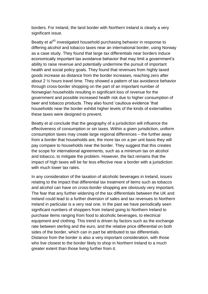borders. For Ireland, the land border with Northern Ireland is clearly a very significant issue.

Beatty et al<sup>43</sup> investigated household purchasing behavior in response to differing alcohol and tobacco taxes near an international border, using Norway as a case study. They found that large tax differentials near borders induce economically important tax avoidance behavior that may limit a government's ability to raise revenue and potentially undermine the pursuit of important health and social policy goals. They found that revenues from highly taxed goods increase as distance from the border increases, reaching zero after about 2 ½ hours travel time. They showed a pattern of tax avoidance behavior through cross-border shopping on the part of an important number of Norwegian households resulting in significant loss of revenue for the government and possible increased health risk due to higher consumption of beer and tobacco products. They also found 'cautious evidence 'that households near the border exhibit higher levels of the kinds of externalities these taxes were designed to prevent.

Beatty et al conclude that the geography of a jurisdiction will influence the effectiveness of consumption or sin taxes. Within a given jurisdiction, uniform consumption taxes may create large regional differences – the further away from a border that households are, the more tax on a per unit basis they will pay compare to households near the border. They suggest that this creates the scope for international agreements, such as a minimum tax on alcohol and tobacco, to mitigate the problem. However, the fact remains that the impact of high taxes will be far less effective near a border with a jurisdiction with much lower tax rates.

In any consideration of the taxation of alcoholic beverages in Ireland, issues relating to the impact that differential tax treatment of items such as tobacco and alcohol can have on cross-border shopping are obviously very important. The fear that any further widening of the tax differentials between the UK and Ireland could lead to a further diversion of sales and tax revenues to Northern Ireland in particular is a very real one. In the past we have periodically seen significant numbers of shoppers from Ireland going to Northern Ireland to purchase items ranging from food to alcoholic beverages, to electrical equipment and clothing. This trend is driven by factors such as the exchange rate between sterling and the euro, and the relative price differential on both sides of the border, which can in part be attributed to tax differentials. Distance from the border is also a very important consideration, with those who live closest to the border likely to shop in Northern Ireland to a much greater extent than those living further from it.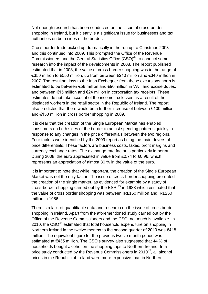Not enough research has been conducted on the issue of cross-border shopping in Ireland, but it clearly is a significant issue for businesses and tax authorities on both sides of the border.

Cross border trade picked up dramatically in the run up to Christmas 2008 and this continued into 2009. This prompted the Office of the Revenue Commissioners and the Central Statistics Office (CSO)<sup>44</sup> to conduct some research into the impact of the developments in 2008. The report published estimated that in 2008, the value of cross border shopping was in the range of €350 million to €550 million, up from between €210 million and €340 million in 2007. The resultant loss to the Irish Exchequer from these excursions north is estimated to be between €58 million and €90 million in VAT and excise duties, and between €15 million and €24 million in corporation tax receipts. These estimates do not take account of the income tax losses as a result of the displaced workers in the retail sector in the Republic of Ireland. The report also predicted that there would be a further increase of between €100 million and €150 million in cross border shopping in 2009.

It is clear that the creation of the Single European Market has enabled consumers on both sides of the border to adjust spending patterns quickly in response to any changes in the price differentials between the two regions. Four factors were identified by the 2009 report as being the main drivers of price differentials. These factors are business costs, taxes, profit margins and currency exchange rates. The exchange rate factor is particularly important. During 2008, the euro appreciated in value from £0.74 to £0.96, which represents an appreciation of almost 30 % in the value of the euro.

It is important to note that while important, the creation of the Single European Market was not the only factor. The issue of cross-border shopping pre-dated the creation of the single market, as evidenced for example by a study of cross-border shopping carried out by the ESRI<sup>45</sup> in 1988 which estimated that the value of cross border shopping was between IR£150 million and IR£250 million in 1986.

There is a lack of quantifiable data and research on the issue of cross border shopping in Ireland. Apart from the aforementioned study carried out by the Office of the Revenue Commissioners and the CSO, not much is available. In 2010, the CSO<sup>46</sup> estimated that total household expenditure on shopping in Northern Ireland in the twelve months to the second quarter of 2010 was €418 million. The equivalent figure for the previous twelve month period was estimated at €435 million. The CSO's survey also suggested that 44 % of households bought alcohol on the shopping trips to Northern Ireland. In a price study conducted by the Revenue Commissioners in 2010<sup>47</sup>, all alcohol prices in the Republic of Ireland were more expensive than in Northern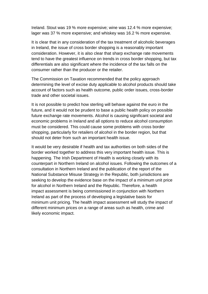Ireland. Stout was 19 % more expensive; wine was 12.4 % more expensive; lager was 37 % more expensive; and whiskey was 16.2 % more expensive.

It is clear that in any consideration of the tax treatment of alcoholic beverages in Ireland, the issue of cross border shopping is a reasonably important consideration. However, it is also clear that sharp exchange rate movements tend to have the greatest influence on trends in cross border shopping, but tax differentials are also significant where the incidence of the tax falls on the consumer rather than the producer or the retailer.

The Commission on Taxation recommended that the policy approach determining the level of excise duty applicable to alcohol products should take account of factors such as health outcome, public order issues, cross-border trade and other societal issues.

It is not possible to predict how sterling will behave against the euro in the future, and it would not be prudent to base a public health policy on possible future exchange rate movements. Alcohol is causing significant societal and economic problems in Ireland and all options to reduce alcohol consumption must be considered. This could cause some problems with cross border shopping, particularly for retailers of alcohol in the border region, but that should not deter from such an important health issue.

It would be very desirable if health and tax authorities on both sides of the border worked together to address this very important health issue. This is happening. The Irish Department of Health is working closely with its counterpart in Northern Ireland on alcohol issues. Following the outcomes of a consultation in Northern Ireland and the publication of the report of the National Substance Misuse Strategy in the Republic, both jurisdictions are seeking to develop the evidence base on the impact of a minimum unit price for alcohol in Northern Ireland and the Republic. Therefore, a health impact assessment is being commissioned in conjunction with Northern Ireland as part of the process of developing a legislative basis for minimum unit pricing. The health impact assessment will study the impact of different minimum prices on a range of areas such as health, crime and likely economic impact.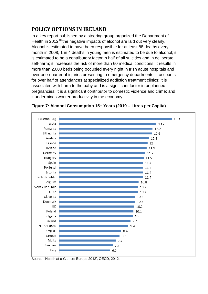# **POLICY OPTIONS IN IRELAND**

In a key report published by a steering group organized the Department of Health in 2012<sup>48</sup> the negative impacts of alcohol are laid out very clearly. Alcohol is estimated to have been responsible for at least 88 deaths every month in 2008; 1 in 4 deaths in young men is estimated to be due to alcohol; it is estimated to be a contributory factor in half of all suicides and in deliberate self-harm; it increases the risk of more than 60 medical conditions; it results in more than 2,000 beds being occupied every night in Irish acute hospitals and over one-quarter of injuries presenting to emergency departments; it accounts for over half of attendances at specialized addiction treatment clinics; it is associated with harm to the baby and is a significant factor in unplanned pregnancies; it is a significant contributor to domestic violence and crime; and it undermines worker productivity in the economy.



#### **Figure 7: Alcohol Consumption 15+ Years (2010 – Litres per Capita)**

Source: 'Health at a Glance: Europe 2012', OECD, 2012.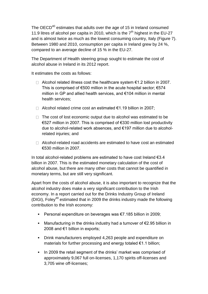The OECD<sup>40</sup> estimates that adults over the age of 15 in Ireland consumed 11.9 litres of alcohol per capita in 2010, which is the  $7<sup>th</sup>$  highest in the EU-27 and is almost twice as much as the lowest consuming country, Italy (Figure 7). Between 1980 and 2010, consumption per capita in Ireland grew by 24 %, compared to an average decline of 15 % in the EU-27.

The Department of Health steering group sought to estimate the cost of alcohol abuse in Ireland in its 2012 report.

It estimates the costs as follows:

- Alcohol related illness cost the healthcare system €1.2 billion in 2007. This is comprised of  $€500$  million in the acute hospital sector;  $€574$ million in GP and allied health services, and €104 million in mental health services;
- □ Alcohol related crime cost an estimated  $€1.19$  billion in 2007;
- $\Box$  The cost of lost economic output due to alcohol was estimated to be €527 million in 2007. This is comprised of €330 million lost productivity due to alcohol-related work absences, and €197 million due to alcoholrelated injuries; and
- $\Box$  Alcohol-related road accidents are estimated to have cost an estimated €530 million in 2007.

In total alcohol-related problems are estimated to have cost Ireland €3.4 billion in 2007. This is the estimated monetary calculation of the cost of alcohol abuse, but there are many other costs that cannot be quantified in monetary terms, but are still very significant.

Apart from the costs of alcohol abuse, it is also important to recognize that the alcohol industry does make a very significant contribution to the Irish economy. In a report carried out for the Drinks Industry Group of Ireland (DIGI), Foley<sup>49</sup> estimated that in 2009 the drinks industry made the following contribution to the Irish economy:

- Personal expenditure on beverages was  $\epsilon$ 7.185 billion in 2009;
- Manufacturing in the drinks industry had a turnover of  $\epsilon$ 2.95 billion in 2008 and €1 billion in exports;
- Drink manufacturers employed 4,263 people and expenditure on materials for further processing and energy totaled €1.1 billion;
- In 2009 the retail segment of the drinks' market was comprised of approximately 9,067 full on-licenses, 1,170 spirits off-licenses and 3,705 wine off-licenses;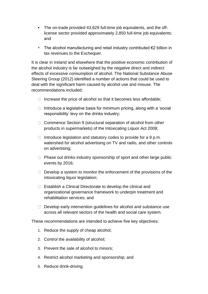- The on-trade provided 43,629 full-time job equivalents, and the offlicense sector provided approximately 2,850 full-time job equivalents; and
- The alcohol manufacturing and retail industry contributed  $\epsilon$ 2 billion in tax revenues to the Exchequer.

It is clear in Ireland and elsewhere that the positive economic contribution of the alcohol industry is far outweighed by the negative direct and indirect effects of excessive consumption of alcohol. The National Substance Abuse Steering Group (2012) identified a number of actions that could be used to deal with the significant harm caused by alcohol use and misuse. The recommendations included:

- $\Box$  Increase the price of alcohol so that it becomes less affordable;
- $\Box$  Introduce a legislative basis for minimum pricing, along with a 'social responsibility' levy on the drinks industry;
- $\Box$  Commence Section 9 (structural separation of alcohol from other products in supermarkets) of the Intoxicating Liquor Act 2008;
- $\Box$  Introduce legislation and statutory codes to provide for a 9 p.m. watershed for alcohol advertising on TV and radio, and other controls on advertising;
- $\Box$  Phase out drinks industry sponsorship of sport and other large public events by 2016;
- $\Box$  Develop a system to monitor the enforcement of the provisions of the intoxicating liquor legislation;
- □ Establish a Clinical Directorate to develop the clinical and organizational governance framework to underpin treatment and rehabilitation services; and
- $\Box$  Develop early intervention guidelines for alcohol and substance use across all relevant sectors of the health and social care system.

These recommendations are intended to achieve five key objectives:

- 1. Reduce the supply of cheap alcohol;
- 2. Control the availability of alcohol;
- 3. Prevent the sale of alcohol to minors;
- 4. Restrict alcohol marketing and sponsorship; and
- 5. Reduce drink-driving.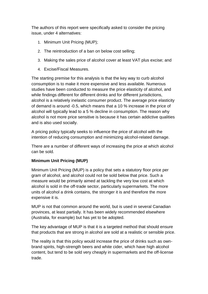The authors of this report were specifically asked to consider the pricing issue, under 4 alternatives:

- 1. Minimum Unit Pricing (MUP);
- 2. The reintroduction of a ban on below cost selling;
- 3. Making the sales price of alcohol cover at least VAT plus excise; and
- 4. Excise/Fiscal Measures.

The starting premise for this analysis is that the key way to curb alcohol consumption is to make it more expensive and less available. Numerous studies have been conducted to measure the price elasticity of alcohol, and while findings different for different drinks and for different jurisdictions, alcohol is a relatively inelastic consumer product. The average price elasticity of demand is around -0.5, which means that a 10 % increase in the price of alcohol will typically lead to a 5 % decline in consumption. The reason why alcohol is not more price sensitive is because it has certain addictive qualities and is also used socially.

A pricing policy typically seeks to influence the price of alcohol with the intention of reducing consumption and minimizing alcohol-related damage.

There are a number of different ways of increasing the price at which alcohol can be sold.

#### **Minimum Unit Pricing (MUP)**

Minimum Unit Pricing (MUP) is a policy that sets a statutory floor price per gram of alcohol, and alcohol could not be sold below that price. Such a measure would be primarily aimed at tackling the very low cost at which alcohol is sold in the off-trade sector, particularly supermarkets. The more units of alcohol a drink contains, the stronger it is and therefore the more expensive it is.

MUP is not that common around the world, but is used in several Canadian provinces, at least partially. It has been widely recommended elsewhere (Australia, for example) but has yet to be adopted.

The key advantage of MUP is that it is a targeted method that should ensure that products that are strong in alcohol are sold at a realistic or sensible price.

The reality is that this policy would increase the price of drinks such as ownbrand spirits, high-strength beers and white cider, which have high alcohol content, but tend to be sold very cheaply in supermarkets and the off-license trade.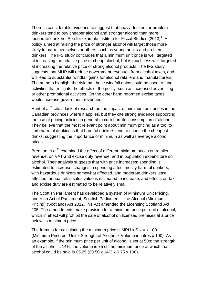There is considerable evidence to suggest that heavy drinkers or problem drinkers tend to buy cheaper alcohol and stronger alcohol than more moderate drinkers. See for example Institute for Fiscal Studies (2013)<sup>4</sup>. A policy aimed at raising the price of stronger alcohol will target those more likely to harm themselves or others, such as young adults and problem drinkers. The IFS study concludes that a minimum unit price is well targeted at increasing the relative price of cheap alcohol, but is much less well targeted at increasing the relative price of strong alcohol products. The IFS study suggests that MUP will reduce government revenues from alcohol taxes, and will lead to substantial windfall gains for alcohol retailers and manufacturers. The authors highlight the risk that these windfall gains could be used to fund activities that mitigate the effects of the policy, such as increased advertising or other promotional activities. On the other hand reformed excise taxes would increase government revenues.

Hunt et al<sup>50</sup> cite a lack of research on the impact of minimum unit prices in the Canadian provinces where it applies, but they cite strong evidence supporting the use of pricing policies in general to curb harmful consumption of alcohol. They believe that the most relevant point about minimum pricing as a tool to curb harmful drinking is that harmful drinkers tend to choose the cheapest drinks, suggesting the importance of minimum as well as average alcohol prices.

Brennan et al<sup>51</sup> examined the effect of different minimum prices on retailer revenue, on VAT and excise duty revenue, and in population expenditure on alcohol. Their analysis suggests that with price increases: spending is estimated to increase; changes in spending affect mostly harmful drinkers, with hazardous drinkers somewhat affected, and moderate drinkers least affected; annual retail sales value is estimated to increase; and effects on tax and excise duty are estimated to be relatively small.

The Scottish Parliament has developed a system of Minimum Unit Pricing, under an Act of Parliament; Scottish Parliament – the Alcohol (Minimum Pricing) (Scotland) Act 2012.This Act amended the Licensing Scotland Act 205. The amendments make provision for a minimum price per unit of alcohol, which in effect will prohibit the sale of alcohol on licensed premises at a price below its minimum price.

The formula for calculating the minimum price is MPU  $\times$  S  $\times$  V  $\times$  100. (Minimum Price per Unit x Strength of Alcohol x Volume in Litres x 100). As an example, if the minimum price per unit of alcohol is set at 50p; the strength of the alcohol is 14%; the volume is 75 cl; the minimum price at which that alcohol could be sold is £5.25 (£0.50 x 14% x 0.75 x 100).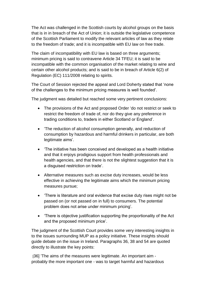The Act was challenged in the Scottish courts by alcohol groups on the basis that is in in breach of the Act of Union; it is outside the legislative competence of the Scottish Parliament to modify the relevant articles of law as they relate to the freedom of trade; and it is incompatible with EU law on free trade.

The claim of incompatibility with EU law is based on three arguments; minimum pricing is said to contravene Article 34 TFEU; it is said to be incompatible with the common organisation of the market relating to wine and certain other alcohol products; and is said to be in breach of Article 6(2) of Regulation (EC) 111/2008 relating to spirits.

The Court of Session rejected the appeal and Lord Doherty stated that 'none of the challenges to the minimum pricing measures is well founded'.

The judgment was detailed but reached some very pertinent conclusions:

- The provisions of the Act and proposed Order 'do not restrict or seek to restrict the freedom of trade of, nor do they give any preference in trading conditions to, traders in either Scotland or England'.
- 'The reduction of alcohol consumption generally, and reduction of consumption by hazardous and harmful drinkers in particular, are both legitimate aims'.
- 'The initiative has been conceived and developed as a health initiative and that it enjoys prodigious support from health professionals and health agencies, and that there is not the slightest suggestion that it is a disguised restriction on trade'.
- Alternative measures such as excise duty increases, would be less effective in achieving the legitimate aims which the minimum pricing measures pursue;
- 'There is literature and oral evidence that excise duty rises might not be passed on (or not passed on in full) to consumers. The potential problem does not arise under minimum pricing'.
- 'There is objective justification supporting the proportionality of the Act and the proposed minimum price'.

The judgment of the Scottish Court provides some very interesting insights in to the issues surrounding MUP as a policy initiative. These insights should guide debate on the issue in Ireland. Paragraphs 36, 38 and 54 are quoted directly to illustrate the key points:

[36] 'The aims of the measures were legitimate. An important aim probably the more important one - was to target harmful and hazardous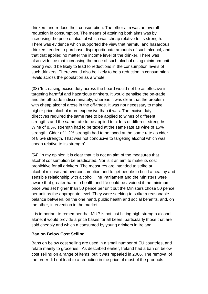drinkers and reduce their consumption. The other aim was an overall reduction in consumption. The means of attaining both aims was by increasing the price of alcohol which was cheap relative to its strength. There was evidence which supported the view that harmful and hazardous drinkers tended to purchase disproportionate amounts of such alcohol, and that that applied no matter the income level of the drinker. There was also evidence that increasing the price of such alcohol using minimum unit pricing would be likely to lead to reductions in the consumption levels of such drinkers. There would also be likely to be a reduction in consumption levels across the population as a whole'.

(38) 'Increasing excise duty across the board would not be as effective in targeting harmful and hazardous drinkers. It would penalise the on-trade and the off-trade indiscriminately, whereas it was clear that the problem with cheap alcohol arose in the off-trade. It was not necessary to make higher price alcohol more expensive than it was. The excise duty directives required the same rate to be applied to wines of different strengths and the same rate to be applied to ciders of different strengths. Wine of 8.5% strength had to be taxed at the same rate as wine of 15% strength. Cider of 1.2% strength had to be taxed at the same rate as cider of 8.5% strength. That was not conducive to targeting alcohol which was cheap relative to its strength'.

[54] 'In my opinion it is clear that it is not an aim of the measures that alcohol consumption be eradicated. Nor is it an aim to make its cost prohibitive for all drinkers. The measures are intended to strike at alcohol misuse and overconsumption and to get people to build a healthy and sensible relationship with alcohol. The Parliament and the Ministers were aware that greater harm to health and life could be avoided if the minimum price was set higher than 50 pence per unit but the Ministers chose 50 pence per unit as the appropriate level. They were seeking to strike a reasonable balance between, on the one hand, public health and social benefits, and, on the other, intervention in the market'.

It is important to remember that MUP is not just hitting high strength alcohol alone; it would provide a price bases for all beers, particularly those that are sold cheaply and which a consumed by young drinkers in Ireland.

#### **Ban on Below Cost Selling**

Bans on below cost selling are used in a small number of EU countries, and relate mainly to groceries. As described earlier, Ireland had a ban on below cost selling on a range of items, but it was repealed in 2006. The removal of the order did not lead to a reduction in the price of most of the products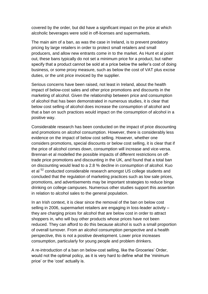covered by the order, but did have a significant impact on the price at which alcoholic beverages were sold in off-licenses and supermarkets.

The main aim of a ban, as was the case in Ireland, is to prevent predatory pricing by large retailers in order to protect small retailers and small producers, and allow new entrants come in to the market. As Hunt et al point out, these bans typically do not set a minimum price for a product, but rather specify that a product cannot be sold at a price below the seller's cost of doing business, or some proxy measure, such as below the cost of VAT plus excise duties, or the unit price invoiced by the supplier.

Serious concerns have been raised, not least in Ireland, about the health impact of below-cost sales and other price promotions and discounts in the marketing of alcohol. Given the relationship between price and consumption of alcohol that has been demonstrated in numerous studies, it is clear that below cost selling of alcohol does increase the consumption of alcohol and that a ban on such practices would impact on the consumption of alcohol in a positive way.

Considerable research has been conducted on the impact of price discounting and promotions on alcohol consumption. However, there is considerably less evidence on the impact of below cost selling. However, whether one considers promotions, special discounts or below cost selling, it is clear that if the price of alcohol comes down, consumption will increase and vice-versa. Brennan et al modelled the possible impacts of different restrictions on offtrade price promotions and discounting in the UK, and found that a total ban on discounting would lead to a 2.8 % decline in consumption of alcohol. Kuo et al <sup>52</sup> conducted considerable research amongst US college students and concluded that the regulation of marketing practices such as low sale prices, promotions, and advertisements may be important strategies to reduce binge drinking on college campuses. Numerous other studies support this assertion in relation to alcohol sales to the general population.

In an Irish context, it is clear since the removal of the ban on below cost selling in 2006, supermarket retailers are engaging in loss-leader activity – they are charging prices for alcohol that are below cost in order to attract shoppers in, who will buy other products whose prices have not been reduced. They can afford to do this because alcohol is such a small proportion of overall turnover. From an alcohol consumption perspective and a health perspective, this is not a positive development. Lower price increases consumption, particularly for young people and problem drinkers.

A re-introduction of a ban on below-cost selling, like the Groceries' Order, would not the optimal policy, as it is very hard to define what the 'minimum price' or the 'cost' actually is.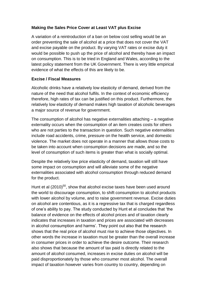#### **Making the Sales Price Cover at Least VAT plus Excise**

A variation of a reintroduction of a ban on below cost selling would be an order preventing the sale of alcohol at a price that does not cover the VAT and excise payable on the product. By varying VAT rates or excise duty it would be possible to push up the price of alcohol and thereby have an impact on consumption. This is to be tried in England and Wales, according to the latest policy statement from the UK Government. There is very little empirical evidence of what the effects of this are likely to be.

#### **Excise / Fiscal Measures**

Alcoholic drinks have a relatively low elasticity of demand, derived from the nature of the need that alcohol fulfils. In the context of economic efficiency therefore, high rates of tax can be justified on this product. Furthermore, the relatively low elasticity of demand makes high taxation of alcoholic beverages a major source of revenue for government.

The consumption of alcohol has negative externalities attaching – a negative externality occurs when the consumption of an item creates costs for others who are not parties to the transaction in question. Such negative externalities include road accidents, crime, pressure on the health service, and domestic violence. The market does not operate in a manner that allows those costs to be taken into account when consumption decisions are made, and so the level of consumption of such items is greater than what is socially optimal.

Despite the relatively low price elasticity of demand, taxation will still have some impact on consumption and will alleviate some of the negative externalities associated with alcohol consumption through reduced demand for the product.

Hunt et al  $(2010)^{50}$ , show that alcohol excise taxes have been used around the world to discourage consumption, to shift consumption to alcohol products with lower alcohol by volume, and to raise government revenue. Excise duties on alcohol are contentious, as it is a regressive tax that is charged regardless of one's ability to pay. The study conducted by Hunt et al concludes that 'the balance of evidence on the effects of alcohol prices and of taxation clearly indicates that increases in taxation and prices are associated with decreases in alcohol consumption and harms'. They point out also that the research shows that the real price of alcohol must rise to achieve those objectives. In other words the increase in taxation must be greater than the overall increase in consumer prices in order to achieve the desire outcome. Their research also shows that because the amount of tax paid is directly related to the amount of alcohol consumed, increases in excise duties on alcohol will be paid disproportionately by those who consumer most alcohol. The overall impact of taxation however varies from country to country, depending on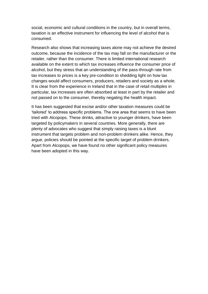social, economic and cultural conditions in the country, but in overall terms, taxation is an effective instrument for influencing the level of alcohol that is consumed.

Research also shows that increasing taxes alone may not achieve the desired outcome, because the incidence of the tax may fall on the manufacturer or the retailer, rather than the consumer. There is limited international research available on the extent to which tax increases influence the consumer price of alcohol, but they stress that an understanding of the pass-through rate from tax increases to prices is a key pre-condition to shedding light on how tax changes would affect consumers, producers, retailers and society as a whole. It is clear from the experience in Ireland that in the case of retail multiples in particular, tax increases are often absorbed at least in part by the retailer and not passed on to the consumer, thereby negating the health impact.

It has been suggested that excise and/or other taxation measures could be 'tailored' to address specific problems. The one area that seems to have been tried with Alcopops. These drinks, attractive to younger drinkers, have been targeted by policymakers in several countries. More generally, there are plenty of advocates who suggest that simply raising taxes is a blunt instrument that targets problem and non-problem drinkers alike. Hence, they argue, policies should be pointed at the specific target of problem drinkers. Apart from Alcopops, we have found no other significant policy measures have been adopted in this way.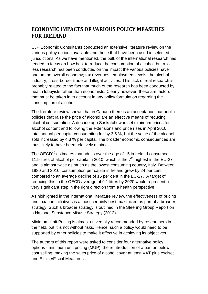# **ECONOMIC IMPACTS OF VARIOUS POLICY MEASURES FOR IRELAND**

CJP Economic Consultants conducted an extensive literature review on the various policy options available and those that have been used in selected jurisdictions. As we have mentioned, the bulk of the international research has tended to focus on how best to reduce the consumption of alcohol, but a lot less research has been conducted on the impact the various policies have had on the overall economy; tax revenues; employment levels; the alcohol industry; cross-border trade and illegal activities. This lack of real research is probably related to the fact that much of the research has been conducted by health lobbyists rather than economists. Clearly however, these are factors that must be taken in to account in any policy formulation regarding the consumption of alcohol.

The literature review shows that in Canada there is an acceptance that public policies that raise the price of alcohol are an effective means of reducing alcohol consumption. A decade ago Saskatchewan set minimum prices for alcohol content and following the extensions and price rises in April 2010, total annual per capita consumption fell by 3.5 %, but the value of the alcohol sold increased by 4.3 % per capita. The broader economic consequences are thus likely to have been relatively minimal.

The OECD<sup>40</sup> estimates that adults over the age of 15 in Ireland consumed 11.9 litres of alcohol per capita in 2010, which is the  $7<sup>th</sup>$  highest in the EU-27 and is almost twice as much as the lowest consuming country, Italy. Between 1980 and 2010, consumption per capita in Ireland grew by 24 per cent, compared to an average decline of 15 per cent in the EU-27. A target of reducing this to the OECD average of 9.1 litres by 2020 would represent a very significant step in the right direction from a health perspective.

As highlighted in the international literature review, the effectiveness of pricing and taxation initiatives is almost certainly best maximized as part of a broader strategy. Such a broader strategy is outlined in the Steering Group Report on a National Substance Misuse Strategy (2012).

Minimum Unit Pricing is almost universally recommended by researchers in the field, but it is not without risks. Hence, such a policy would need to be supported by other policies to make it effective in achieving its objectives.

The authors of this report were asked to consider four alternative policy options - minimum unit pricing (MUP); the reintroduction of a ban on below cost selling; making the sales price of alcohol cover at least VAT plus excise; and Excise/Fiscal Measures.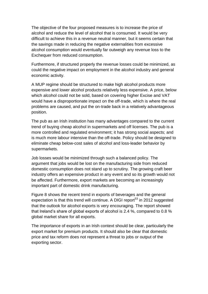The objective of the four proposed measures is to increase the price of alcohol and reduce the level of alcohol that is consumed. It would be very difficult to achieve this in a revenue neutral manner, but it seems certain that the savings made in reducing the negative externalities from excessive alcohol consumption would eventually far outweigh any revenue loss to the Exchequer from reduced consumption.

Furthermore, if structured properly the revenue losses could be minimized, as could the negative impact on employment in the alcohol industry and general economic activity.

A MUP regime should be structured to make high alcohol products more expensive and lower alcohol products relatively less expensive. A price, below which alcohol could not be sold, based on covering higher Excise and VAT would have a disproportionate impact on the off-trade, which is where the real problems are caused, and put the on-trade back in a relatively advantageous position.

The pub as an Irish institution has many advantages compared to the current trend of buying cheap alcohol in supermarkets and off licenses. The pub is a more controlled and regulated environment; it has strong social aspects; and is much more labour intensive than the off-trade. Policy should be designed to eliminate cheap below-cost sales of alcohol and loss-leader behavior by supermarkets.

Job losses would be minimized through such a balanced policy. The argument that jobs would be lost on the manufacturing side from reduced domestic consumption does not stand up to scrutiny. The growing craft beer industry offers an expensive product in any event and so its growth would not be affected. Furthermore, export markets are becoming an increasingly important part of domestic drink manufacturing.

Figure 8 shows the recent trend in exports of beverages and the general expectation is that this trend will continue. A DIGI report<sup>53</sup> in 2012 suggested that the outlook for alcohol exports is very encouraging. The report showed that Ireland's share of global exports of alcohol is 2.4 %, compared to 0.8 % global market share for all exports.

The importance of exports in an Irish context should be clear, particularly the export market for premium products. It should also be clear that domestic price and tax reform does not represent a threat to jobs or output of the exporting sector.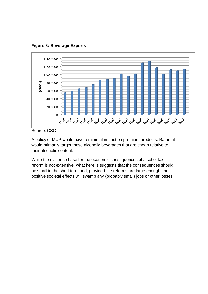**Figure 8: Beverage Exports**



Source: CSO

A policy of MUP would have a minimal impact on premium products. Rather it would primarily target those alcoholic beverages that are cheap relative to their alcoholic content.

While the evidence base for the economic consequences of alcohol tax reform is not extensive, what here is suggests that the consequences should be small in the short term and, provided the reforms are large enough, the positive societal effects will swamp any (probably small) jobs or other losses.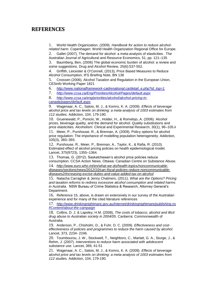## **REFERENCES**

1. World Health Organization. (2009). *Handbook for action to reduce alcoholrelated harm*. Copenhagen: World Health Organization Regional Office for Europe.

2. Gallet (2007), The demand for alcohol: a meta-analysis of elasticities. The Australian Journal of Agricultural and Resource Economics, 51, pp. 121–135 3. Baumberg, Ben, (2006) The global economic burden of alcohol: a review and some suggestions. Drug and Alcohol Review, 25(6):537-552.

4. Griffith, Leicester & O'Connell, (2013), Price Based Measures to Reduce Alcohol Consumption, IFS Briefing Note, BN 138

5. Cnossen (2006), Alcohol Taxation and Regulation in the European Union, CESinfo Working Paper 1821

6. *[http://www.nationalframework-cadrenational.ca/detail\\_e.php?id\\_top=1](http://www.nationalframework-cadrenational.ca/detail_e.php?id_top=1)*

7. *<http://www.ccsa.ca/Eng/Priorities/Alcohol/Pages/default.aspx>*

8. *[http://www.ccsa.ca/eng/priorities/alcohol/alcohol-pricing-in](http://www.ccsa.ca/eng/priorities/alcohol/alcohol-pricing-in-canada/pages/default.aspx)[canada/pages/default.aspx](http://www.ccsa.ca/eng/priorities/alcohol/alcohol-pricing-in-canada/pages/default.aspx)*

9. Wagenaar, A. C., Salois, M. J., & Komro, K. A. (2009). *Effects of beverage alcohol price and tax levels on drinking: a meta-analysis of 1003 estimates from 112 studies.* Addiction, 104, 179-190.

10. Gruenewald, P., Ponicki, W., Holder, H., & Romelsjo, A. (2006). Alcohol prices, beverage quality, and the demand for alcohol: Quality substitutions and price elasticities. Alcoholism: Clinical and Experimental Research, 30(1), 96–105.ii

11. Meier, P., Purshouse, R., & Brennan, A. (2009). Policy options for alcohol price regulation: The importance of modelling population heterogeneity. Addiction, 105(3), 383–393.

12. Purshouse, R., Meier, P., Brennan, A., Taylor, K., & Rafia, R. (2010). Estimated effect of alcohol pricing policies on health epidemiological model. Lancet, 375(9723), 1355–1364.

13. Thomas, G. (2012). Saskatchewan's alcohol price policies reduce consumption. CCSA Action News. Ottawa: Canadian Centre on Substance Abuse.

14. *[http://www.euro.who.int/en/what-we-do/health-topics/noncommunicable](http://www.euro.who.int/en/what-we-do/health-topics/noncommunicable-diseases/sections/news/2012/10/can-fiscal-policies-reduce-noncommunicable-diseases2/increasing-excise-duties-and-value-added-tax-on-alcohol)[diseases/sections/news/2012/10/can-fiscal-policies-reduce-noncommunicable](http://www.euro.who.int/en/what-we-do/health-topics/noncommunicable-diseases/sections/news/2012/10/can-fiscal-policies-reduce-noncommunicable-diseases2/increasing-excise-duties-and-value-added-tax-on-alcohol)[diseases2/increasing-excise-duties-and-value-added-tax-on-alcohol](http://www.euro.who.int/en/what-we-do/health-topics/noncommunicable-diseases/sections/news/2012/10/can-fiscal-policies-reduce-noncommunicable-diseases2/increasing-excise-duties-and-value-added-tax-on-alcohol)*

15. Natacha Carragher & Jenny Chalmers, (2011), *What are the Options? Pricing and taxation reforms to redress excessive alcohol consumption and related harms in Australia*. NSW Bureau of Crime Statistics & Research, Attorney General's Department.

16. Reference 15, above, is drawn on extensively in our survey of the Australian experience and for many of the cited literature references

17. *[http://www.drinkingnightmare.gov.au/internet/drinkingnightmare/publishing.ns](http://www.drinkingnightmare.gov.au/internet/drinkingnightmare/publishing.nsf/Content/about-the-campaign) [f/Content/about-the-campaign](http://www.drinkingnightmare.gov.au/internet/drinkingnightmare/publishing.nsf/Content/about-the-campaign)*

18. Collins, D. J. & Lapsley, H.M. (2008), *The costs of tobacco, alcohol and illicit drug abuse to Australian society in 2004/05*. Canberra: Commonwealth of Australia.

19. Anderson, P., Chisholm, D., & Fuhr, D. C. (2009). *Effectiveness and costeffectiveness of policies and programmes to reduce the harm caused by alcohol.*  Lancet, 373, 2234- 2246.

20. Toumbourou, J. W., Stockwell, T., Neighbors, C., Marlatt, G. A., Sturge, J., & Rehm, J. (2007). *Interventions to reduce harm associated with adolescent substance use.* Lancet, 369, 41-51

21. Wagenaar, A. C., Salois, M. J., & Komro, K. A. (2009). *Effects of beverage alcohol price and tax levels on drinking: a meta-analysis of 1003 estimates from 112 studies.* Addiction, 104, 179-190.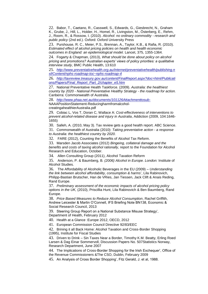22. Babor, T., Caetano, R., Casswell, S., Edwards, G., Giesbrecht, N., Graham K., Grube, J., Hill, L., Holder, H., Homel, R., Livingston, M., Österberg, E., Rehm, J., Room, R., & Rossow, I. (2010). *Alcohol: no ordinary commodity - research and public policy* (2nd ed.). Oxford: Oxford University Press

23. Purshouse, R. C., Meier, P.S., Brennan, A., Taylor, K.B., & Rafia, R. (2010). *Estimated effect of alcohol pricing policies on health and health economic outcomes in England: an epidemiological model.* Lancet, 375, 1355-1364.

24. Fogarty & Chapman, (2013), *What should be done about policy on alcohol pricing and promotions? Australian experts' views of policy priorities: a qualitative interview study*, BMC Public Health, 13:610

25. *[http://www.preventativehealth.org.au/internet/preventativehealth/publishing.n](http://www.preventativehealth.org.au/internet/preventativehealth/publishing.nsf/Content/nphs-roadmap-toc~nphs-roadmap-4) [sf/Content/nphs-roadmap-toc~nphs-roadmap-4](http://www.preventativehealth.org.au/internet/preventativehealth/publishing.nsf/Content/nphs-roadmap-toc~nphs-roadmap-4)*

26. *[http://taxreview.treasury.gov.au/content/FinalReport.aspx?doc=html/Publicati](http://taxreview.treasury.gov.au/content/FinalReport.aspx?doc=html/Publications/Papers/Final_Report_Part_2/chapter_e5.htm) [ons/Papers/Final\\_Report\\_Part\\_2/chapter\\_e5.htm](http://taxreview.treasury.gov.au/content/FinalReport.aspx?doc=html/Publications/Papers/Final_Report_Part_2/chapter_e5.htm)*

27. National Preventative Health Taskforce. (2009). *Australia: the healthiest country by 2020 - National Preventative Healthy Strategy - the roadmap for action.*  Canberra: Commonwealth of Australia.

28. *<http://www.phaa.net.au/documents/101126Attachmenttosub->*

NAAAPositionStatement-ReducingharmfromalcoholcreatingahealthierAustralia.pdf

29. Cobiac L, Vos T, Doran C, Wallace A: *Cost-effectiveness of interventions to prevent alcohol-related disease and injury in Australia*, Addiction (2009, 104:1646- 1655)

30. Salleh, A. (2010, May 3). Tax review gets a good health report. ABC Science.

31. Commonwealth of Australia (2010): *Taking preventative action - a response to Australia: the healthiest country by 2020.*

32. FARE (2012), Counting the Benefits of Alcohol Tax Reform.

33. Marsden Jacob Associates (2012) *Bingeing, collateral damage and the benefits and costs of taxing alcohol rationally,* report to the Foundation for Alcohol Research and Education, October.

34. Allen Consulting Group (2011), Alcohol Taxation Reform

35. Anderson, P. & Baumberg, B*. (2006) Alcohol in Europe. London:* Institute of Alcohol Studies.

36. The Affordability of Alcoholic Beverages in the EU (2009) – *Understanding the link between alcohol affordability, consumption & harms*', Lila Rabinovich, Philipp-Bastian Brutscher, Han de VRies, Jan Tiessen, Jack Clift & Anais Reding, Rand Europe.

37. *Preliminary assessment of the economic impacts of alcohol pricing policy options in the UK,* (2010), Priscillia Hunt, Lila Rabinovich & Ben Baumberg, Rand Europe.

38. *Price Based Measures to Reduce Alcohol Consumption*, Rachel Griffith, Andrew Leicester & Martin O'Connell, IFS Briefing Note BN138, Economic & Social Research Council, 2013

39. Steering Group Report on a National Substance Misuse Strategy', Department of Health, February 2012

40. Health at a Glance :Europe 2012, OECD, 2012

41. European Commission Council Directive 92/83/EEC

42. Brining it all Back Home: Alcohol Taxation and Cross-Border Shopping (1995), Institute for Fiscal Studies

43. Driven to Drink – Sin Taxes Near a Border, Timothy K.M. Beatty, Erling Roed Larsen & Dag Einar Sommervoll, Discussion Papers No. 507Statistics Norway, Research Department, June 2007

44. The Implications of Cross-Border Shopping for the Irish Exchequer', Office of the Revenue Commissioners &The CSO, Dublin, February 2009

45. An Analysis of Cross Border Shopping', Fitz Gerald, J. et al, 1988.